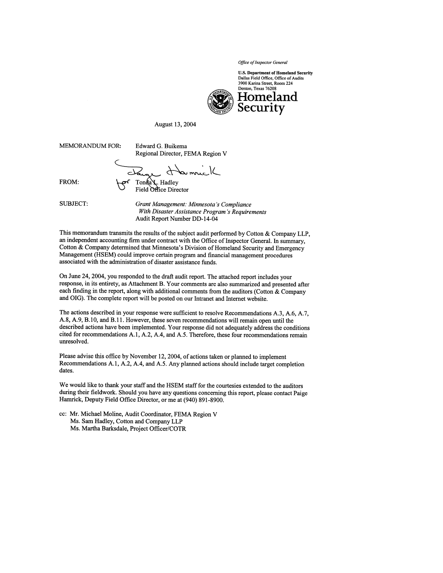Office of Inspector General

**U.S. Department of Homeland Security** Dallas Field Office, Office of Audits 3900 Karina Street, Room 224



August 13, 2004

**MEMORANDUM FOR:** 

Edward G. Buikema Regional Director, FEMA Region V

Tonda V. Hadley

FROM:

Field Office Director

**SUBJECT:** 

Grant Management: Minnesota's Compliance With Disaster Assistance Program's Requirements Audit Report Number DD-14-04

This memorandum transmits the results of the subject audit performed by Cotton & Company LLP, an independent accounting firm under contract with the Office of Inspector General. In summary, Cotton & Company determined that Minnesota's Division of Homeland Security and Emergency Management (HSEM) could improve certain program and financial management procedures associated with the administration of disaster assistance funds.

On June 24, 2004, you responded to the draft audit report. The attached report includes your response, in its entirety, as Attachment B. Your comments are also summarized and presented after each finding in the report, along with additional comments from the auditors (Cotton & Company and OIG). The complete report will be posted on our Intranet and Internet website.

The actions described in your response were sufficient to resolve Recommendations A.3, A.6, A.7, A.8, A.9, B.10, and B.11. However, these seven recommendations will remain open until the described actions have been implemented. Your response did not adequately address the conditions cited for recommendations A.1, A.2, A.4, and A.5. Therefore, these four recommendations remain unresolved.

Please advise this office by November 12, 2004, of actions taken or planned to implement Recommendations A.1, A.2, A.4, and A.5. Any planned actions should include target completion dates.

We would like to thank your staff and the HSEM staff for the courtesies extended to the auditors during their fieldwork. Should you have any questions concerning this report, please contact Paige Hamrick, Deputy Field Office Director, or me at (940) 891-8900.

cc: Mr. Michael Moline, Audit Coordinator, FEMA Region V Ms. Sam Hadley, Cotton and Company LLP Ms. Martha Barksdale, Project Officer/COTR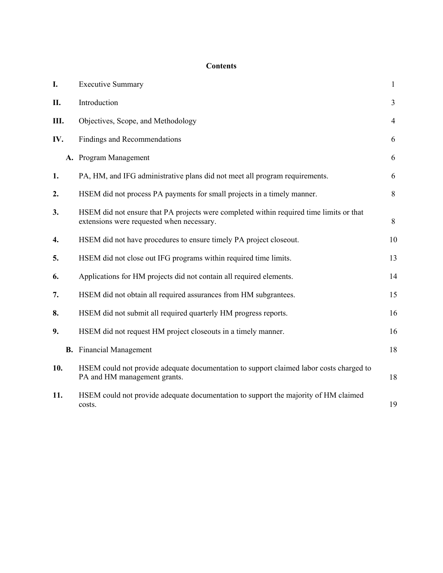## **Contents**

| I.  | <b>Executive Summary</b>                                                                                                             | $\mathbf{1}$   |
|-----|--------------------------------------------------------------------------------------------------------------------------------------|----------------|
| П.  | Introduction                                                                                                                         | $\overline{3}$ |
| Ш.  | Objectives, Scope, and Methodology                                                                                                   | $\overline{4}$ |
| IV. | <b>Findings and Recommendations</b>                                                                                                  | 6              |
|     | A. Program Management                                                                                                                | 6              |
| 1.  | PA, HM, and IFG administrative plans did not meet all program requirements.                                                          | 6              |
| 2.  | HSEM did not process PA payments for small projects in a timely manner.                                                              | 8              |
| 3.  | HSEM did not ensure that PA projects were completed within required time limits or that<br>extensions were requested when necessary. | 8              |
| 4.  | HSEM did not have procedures to ensure timely PA project closeout.                                                                   | 10             |
| 5.  | HSEM did not close out IFG programs within required time limits.                                                                     | 13             |
| 6.  | Applications for HM projects did not contain all required elements.                                                                  | 14             |
| 7.  | HSEM did not obtain all required assurances from HM subgrantees.                                                                     | 15             |
| 8.  | HSEM did not submit all required quarterly HM progress reports.                                                                      | 16             |
| 9.  | HSEM did not request HM project closeouts in a timely manner.                                                                        | 16             |
|     | <b>B.</b> Financial Management                                                                                                       | 18             |
| 10. | HSEM could not provide adequate documentation to support claimed labor costs charged to<br>PA and HM management grants.              | 18             |
| 11. | HSEM could not provide adequate documentation to support the majority of HM claimed<br>costs.                                        | 19             |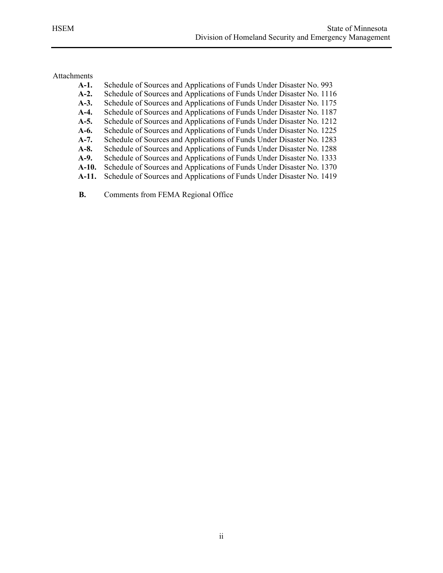# Attachments

| $A-1.$  | Schedule of Sources and Applications of Funds Under Disaster No. 993  |
|---------|-----------------------------------------------------------------------|
| $A-2.$  | Schedule of Sources and Applications of Funds Under Disaster No. 1116 |
| $A-3.$  | Schedule of Sources and Applications of Funds Under Disaster No. 1175 |
| A-4.    | Schedule of Sources and Applications of Funds Under Disaster No. 1187 |
| $A-5.$  | Schedule of Sources and Applications of Funds Under Disaster No. 1212 |
| A-6.    | Schedule of Sources and Applications of Funds Under Disaster No. 1225 |
| $A-7.$  | Schedule of Sources and Applications of Funds Under Disaster No. 1283 |
| $A-8.$  | Schedule of Sources and Applications of Funds Under Disaster No. 1288 |
| A-9.    | Schedule of Sources and Applications of Funds Under Disaster No. 1333 |
| $A-10.$ | Schedule of Sources and Applications of Funds Under Disaster No. 1370 |
| A-11.   | Schedule of Sources and Applications of Funds Under Disaster No. 1419 |

**B.** Comments from FEMA Regional Office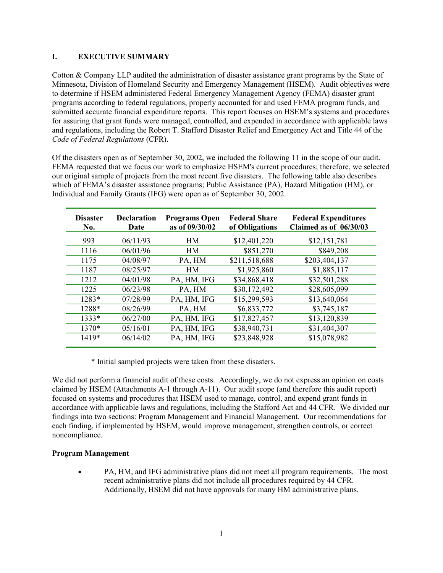#### **I. EXECUTIVE SUMMARY**

Cotton & Company LLP audited the administration of disaster assistance grant programs by the State of Minnesota, Division of Homeland Security and Emergency Management (HSEM). Audit objectives were to determine if HSEM administered Federal Emergency Management Agency (FEMA) disaster grant programs according to federal regulations, properly accounted for and used FEMA program funds, and submitted accurate financial expenditure reports. This report focuses on HSEM's systems and procedures for assuring that grant funds were managed, controlled, and expended in accordance with applicable laws and regulations, including the Robert T. Stafford Disaster Relief and Emergency Act and Title 44 of the *Code of Federal Regulations* (CFR).

Of the disasters open as of September 30, 2002, we included the following 11 in the scope of our audit. FEMA requested that we focus our work to emphasize HSEM's current procedures; therefore, we selected our original sample of projects from the most recent five disasters. The following table also describes which of FEMA's disaster assistance programs; Public Assistance (PA), Hazard Mitigation (HM), or Individual and Family Grants (IFG) were open as of September 30, 2002.

| <b>Disaster</b><br>No. | <b>Declaration</b><br>Date | <b>Programs Open</b><br>as of 09/30/02 | <b>Federal Share</b><br>of Obligations | <b>Federal Expenditures</b><br>Claimed as of 06/30/03 |
|------------------------|----------------------------|----------------------------------------|----------------------------------------|-------------------------------------------------------|
| 993                    | 06/11/93                   | <b>HM</b>                              | \$12,401,220                           | \$12,151,781                                          |
| 1116                   | 06/01/96                   | <b>HM</b>                              | \$851,270                              | \$849,208                                             |
| 1175                   | 04/08/97                   | PA, HM                                 | \$211,518,688                          | \$203,404,137                                         |
| 1187                   | 08/25/97                   | <b>HM</b>                              | \$1,925,860                            | \$1,885,117                                           |
| 1212                   | 04/01/98                   | PA, HM, IFG                            | \$34,868,418                           | \$32,501,288                                          |
| 1225                   | 06/23/98                   | PA, HM                                 | \$30,172,492                           | \$28,605,099                                          |
| $1283*$                | 07/28/99                   | PA, HM, IFG                            | \$15,299,593                           | \$13,640,064                                          |
| 1288*                  | 08/26/99                   | PA, HM                                 | \$6,833,772                            | \$3,745,187                                           |
| $1333*$                | 06/27/00                   | PA, HM, IFG                            | \$17,827,457                           | \$13,120,839                                          |
| $1370*$                | 05/16/01                   | PA, HM, IFG                            | \$38,940,731                           | \$31,404,307                                          |
| 1419*                  | 06/14/02                   | PA, HM, IFG                            | \$23,848,928                           | \$15,078,982                                          |

\* Initial sampled projects were taken from these disasters.

We did not perform a financial audit of these costs. Accordingly, we do not express an opinion on costs claimed by HSEM (Attachments A-1 through A-11). Our audit scope (and therefore this audit report) focused on systems and procedures that HSEM used to manage, control, and expend grant funds in accordance with applicable laws and regulations, including the Stafford Act and 44 CFR. We divided our findings into two sections: Program Management and Financial Management. Our recommendations for each finding, if implemented by HSEM, would improve management, strengthen controls, or correct noncompliance.

#### **Program Management**

• PA, HM, and IFG administrative plans did not meet all program requirements. The most recent administrative plans did not include all procedures required by 44 CFR. Additionally, HSEM did not have approvals for many HM administrative plans.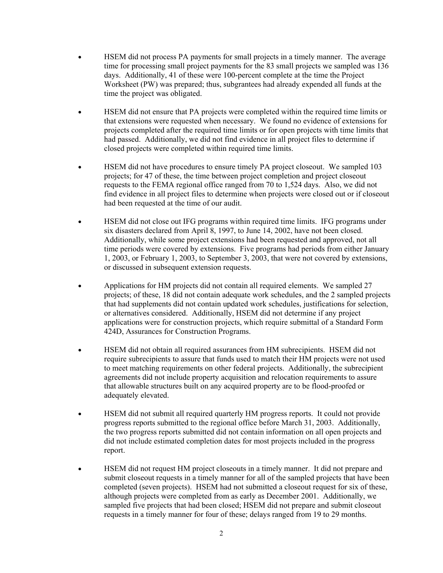- HSEM did not process PA payments for small projects in a timely manner. The average time for processing small project payments for the 83 small projects we sampled was 136 days. Additionally, 41 of these were 100-percent complete at the time the Project Worksheet (PW) was prepared; thus, subgrantees had already expended all funds at the time the project was obligated.
- HSEM did not ensure that PA projects were completed within the required time limits or that extensions were requested when necessary. We found no evidence of extensions for projects completed after the required time limits or for open projects with time limits that had passed. Additionally, we did not find evidence in all project files to determine if closed projects were completed within required time limits.
- HSEM did not have procedures to ensure timely PA project closeout. We sampled 103 projects; for 47 of these, the time between project completion and project closeout requests to the FEMA regional office ranged from 70 to 1,524 days. Also, we did not find evidence in all project files to determine when projects were closed out or if closeout had been requested at the time of our audit.
- HSEM did not close out IFG programs within required time limits. IFG programs under six disasters declared from April 8, 1997, to June 14, 2002, have not been closed. Additionally, while some project extensions had been requested and approved, not all time periods were covered by extensions. Five programs had periods from either January 1, 2003, or February 1, 2003, to September 3, 2003, that were not covered by extensions, or discussed in subsequent extension requests.
- Applications for HM projects did not contain all required elements. We sampled 27 projects; of these, 18 did not contain adequate work schedules, and the 2 sampled projects that had supplements did not contain updated work schedules, justifications for selection, or alternatives considered. Additionally, HSEM did not determine if any project applications were for construction projects, which require submittal of a Standard Form 424D, Assurances for Construction Programs.
- HSEM did not obtain all required assurances from HM subrecipients. HSEM did not require subrecipients to assure that funds used to match their HM projects were not used to meet matching requirements on other federal projects. Additionally, the subrecipient agreements did not include property acquisition and relocation requirements to assure that allowable structures built on any acquired property are to be flood-proofed or adequately elevated.
- HSEM did not submit all required quarterly HM progress reports. It could not provide progress reports submitted to the regional office before March 31, 2003. Additionally, the two progress reports submitted did not contain information on all open projects and did not include estimated completion dates for most projects included in the progress report.
- HSEM did not request HM project closeouts in a timely manner. It did not prepare and submit closeout requests in a timely manner for all of the sampled projects that have been completed (seven projects). HSEM had not submitted a closeout request for six of these, although projects were completed from as early as December 2001. Additionally, we sampled five projects that had been closed; HSEM did not prepare and submit closeout requests in a timely manner for four of these; delays ranged from 19 to 29 months.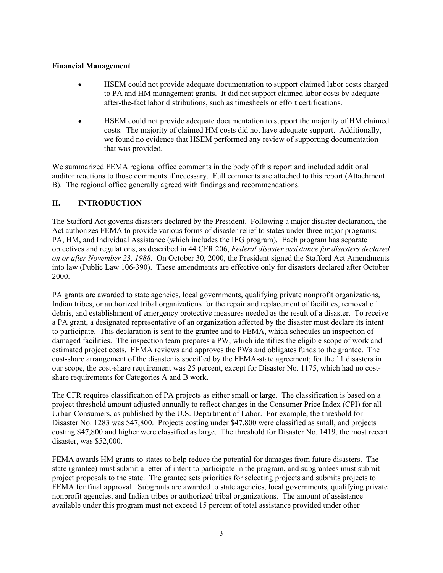#### **Financial Management**

- HSEM could not provide adequate documentation to support claimed labor costs charged to PA and HM management grants. It did not support claimed labor costs by adequate after-the-fact labor distributions, such as timesheets or effort certifications.
- HSEM could not provide adequate documentation to support the majority of HM claimed costs. The majority of claimed HM costs did not have adequate support. Additionally, we found no evidence that HSEM performed any review of supporting documentation that was provided.

We summarized FEMA regional office comments in the body of this report and included additional auditor reactions to those comments if necessary. Full comments are attached to this report (Attachment B). The regional office generally agreed with findings and recommendations.

#### **II. INTRODUCTION**

The Stafford Act governs disasters declared by the President. Following a major disaster declaration, the Act authorizes FEMA to provide various forms of disaster relief to states under three major programs: PA, HM, and Individual Assistance (which includes the IFG program). Each program has separate objectives and regulations, as described in 44 CFR 206, *Federal disaster assistance for disasters declared on or after November 23, 1988*. On October 30, 2000, the President signed the Stafford Act Amendments into law (Public Law 106-390). These amendments are effective only for disasters declared after October 2000.

PA grants are awarded to state agencies, local governments, qualifying private nonprofit organizations, Indian tribes, or authorized tribal organizations for the repair and replacement of facilities, removal of debris, and establishment of emergency protective measures needed as the result of a disaster. To receive a PA grant, a designated representative of an organization affected by the disaster must declare its intent to participate. This declaration is sent to the grantee and to FEMA, which schedules an inspection of damaged facilities. The inspection team prepares a PW, which identifies the eligible scope of work and estimated project costs. FEMA reviews and approves the PWs and obligates funds to the grantee. The cost-share arrangement of the disaster is specified by the FEMA-state agreement; for the 11 disasters in our scope, the cost-share requirement was 25 percent, except for Disaster No. 1175, which had no costshare requirements for Categories A and B work.

The CFR requires classification of PA projects as either small or large. The classification is based on a project threshold amount adjusted annually to reflect changes in the Consumer Price Index (CPI) for all Urban Consumers, as published by the U.S. Department of Labor. For example, the threshold for Disaster No. 1283 was \$47,800. Projects costing under \$47,800 were classified as small, and projects costing \$47,800 and higher were classified as large. The threshold for Disaster No. 1419, the most recent disaster, was \$52,000.

FEMA awards HM grants to states to help reduce the potential for damages from future disasters. The state (grantee) must submit a letter of intent to participate in the program, and subgrantees must submit project proposals to the state. The grantee sets priorities for selecting projects and submits projects to FEMA for final approval. Subgrants are awarded to state agencies, local governments, qualifying private nonprofit agencies, and Indian tribes or authorized tribal organizations. The amount of assistance available under this program must not exceed 15 percent of total assistance provided under other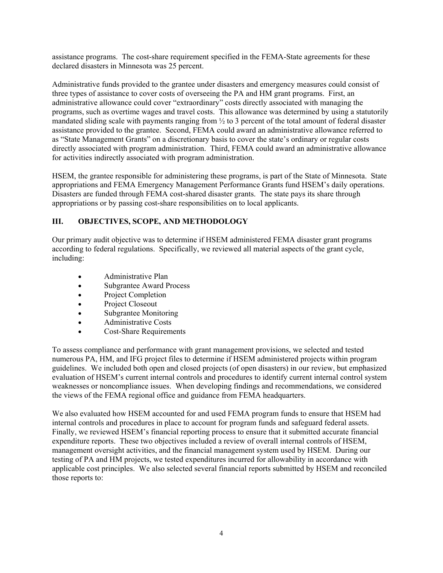assistance programs. The cost-share requirement specified in the FEMA-State agreements for these declared disasters in Minnesota was 25 percent.

Administrative funds provided to the grantee under disasters and emergency measures could consist of three types of assistance to cover costs of overseeing the PA and HM grant programs. First, an administrative allowance could cover "extraordinary" costs directly associated with managing the programs, such as overtime wages and travel costs. This allowance was determined by using a statutorily mandated sliding scale with payments ranging from  $\frac{1}{2}$  to 3 percent of the total amount of federal disaster assistance provided to the grantee. Second, FEMA could award an administrative allowance referred to as "State Management Grants" on a discretionary basis to cover the state's ordinary or regular costs directly associated with program administration. Third, FEMA could award an administrative allowance for activities indirectly associated with program administration.

HSEM, the grantee responsible for administering these programs, is part of the State of Minnesota. State appropriations and FEMA Emergency Management Performance Grants fund HSEM's daily operations. Disasters are funded through FEMA cost-shared disaster grants. The state pays its share through appropriations or by passing cost-share responsibilities on to local applicants.

## **III. OBJECTIVES, SCOPE, AND METHODOLOGY**

Our primary audit objective was to determine if HSEM administered FEMA disaster grant programs according to federal regulations. Specifically, we reviewed all material aspects of the grant cycle, including:

- Administrative Plan
- Subgrantee Award Process
- Project Completion
- Project Closeout
- Subgrantee Monitoring
- Administrative Costs
- Cost-Share Requirements

To assess compliance and performance with grant management provisions, we selected and tested numerous PA, HM, and IFG project files to determine if HSEM administered projects within program guidelines. We included both open and closed projects (of open disasters) in our review, but emphasized evaluation of HSEM's current internal controls and procedures to identify current internal control system weaknesses or noncompliance issues. When developing findings and recommendations, we considered the views of the FEMA regional office and guidance from FEMA headquarters.

We also evaluated how HSEM accounted for and used FEMA program funds to ensure that HSEM had internal controls and procedures in place to account for program funds and safeguard federal assets. Finally, we reviewed HSEM's financial reporting process to ensure that it submitted accurate financial expenditure reports. These two objectives included a review of overall internal controls of HSEM, management oversight activities, and the financial management system used by HSEM. During our testing of PA and HM projects, we tested expenditures incurred for allowability in accordance with applicable cost principles. We also selected several financial reports submitted by HSEM and reconciled those reports to: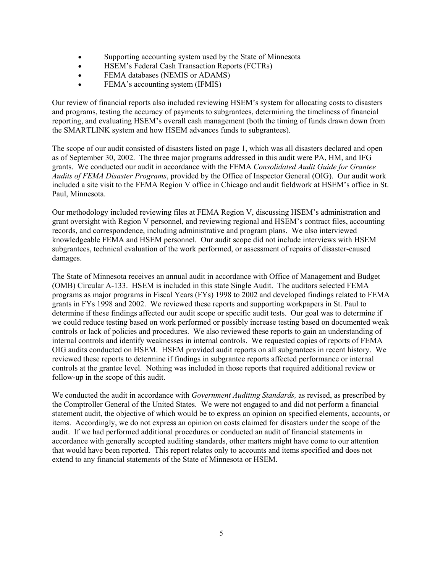- Supporting accounting system used by the State of Minnesota
- HSEM's Federal Cash Transaction Reports (FCTRs)
- FEMA databases (NEMIS or ADAMS)
- FEMA's accounting system (IFMIS)

Our review of financial reports also included reviewing HSEM's system for allocating costs to disasters and programs, testing the accuracy of payments to subgrantees, determining the timeliness of financial reporting, and evaluating HSEM's overall cash management (both the timing of funds drawn down from the SMARTLINK system and how HSEM advances funds to subgrantees).

The scope of our audit consisted of disasters listed on page 1, which was all disasters declared and open as of September 30, 2002. The three major programs addressed in this audit were PA, HM, and IFG grants. We conducted our audit in accordance with the FEMA *Consolidated Audit Guide for Grantee Audits of FEMA Disaster Programs*, provided by the Office of Inspector General (OIG). Our audit work included a site visit to the FEMA Region V office in Chicago and audit fieldwork at HSEM's office in St. Paul, Minnesota.

Our methodology included reviewing files at FEMA Region V, discussing HSEM's administration and grant oversight with Region V personnel, and reviewing regional and HSEM's contract files, accounting records, and correspondence, including administrative and program plans. We also interviewed knowledgeable FEMA and HSEM personnel. Our audit scope did not include interviews with HSEM subgrantees, technical evaluation of the work performed, or assessment of repairs of disaster-caused damages.

The State of Minnesota receives an annual audit in accordance with Office of Management and Budget (OMB) Circular A-133. HSEM is included in this state Single Audit. The auditors selected FEMA programs as major programs in Fiscal Years (FYs) 1998 to 2002 and developed findings related to FEMA grants in FYs 1998 and 2002. We reviewed these reports and supporting workpapers in St. Paul to determine if these findings affected our audit scope or specific audit tests. Our goal was to determine if we could reduce testing based on work performed or possibly increase testing based on documented weak controls or lack of policies and procedures. We also reviewed these reports to gain an understanding of internal controls and identify weaknesses in internal controls. We requested copies of reports of FEMA OIG audits conducted on HSEM. HSEM provided audit reports on all subgrantees in recent history. We reviewed these reports to determine if findings in subgrantee reports affected performance or internal controls at the grantee level. Nothing was included in those reports that required additional review or follow-up in the scope of this audit.

We conducted the audit in accordance with *Government Auditing Standards,* as revised, as prescribed by the Comptroller General of the United States. We were not engaged to and did not perform a financial statement audit, the objective of which would be to express an opinion on specified elements, accounts, or items. Accordingly, we do not express an opinion on costs claimed for disasters under the scope of the audit. If we had performed additional procedures or conducted an audit of financial statements in accordance with generally accepted auditing standards, other matters might have come to our attention that would have been reported. This report relates only to accounts and items specified and does not extend to any financial statements of the State of Minnesota or HSEM.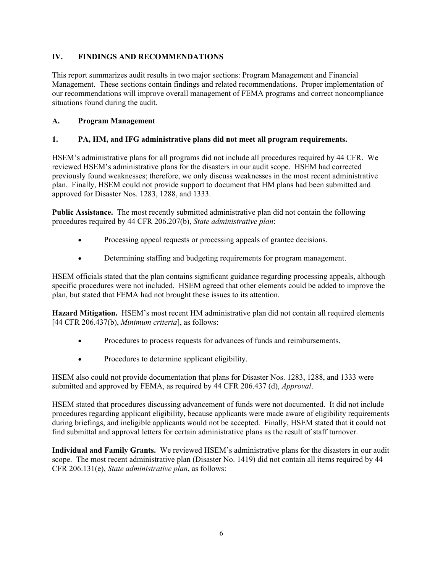## **IV. FINDINGS AND RECOMMENDATIONS**

This report summarizes audit results in two major sections: Program Management and Financial Management. These sections contain findings and related recommendations. Proper implementation of our recommendations will improve overall management of FEMA programs and correct noncompliance situations found during the audit.

#### **A. Program Management**

#### **1. PA, HM, and IFG administrative plans did not meet all program requirements.**

HSEM's administrative plans for all programs did not include all procedures required by 44 CFR. We reviewed HSEM's administrative plans for the disasters in our audit scope. HSEM had corrected previously found weaknesses; therefore, we only discuss weaknesses in the most recent administrative plan. Finally, HSEM could not provide support to document that HM plans had been submitted and approved for Disaster Nos. 1283, 1288, and 1333.

**Public Assistance.** The most recently submitted administrative plan did not contain the following procedures required by 44 CFR 206.207(b), *State administrative plan*:

- Processing appeal requests or processing appeals of grantee decisions.
- Determining staffing and budgeting requirements for program management.

HSEM officials stated that the plan contains significant guidance regarding processing appeals, although specific procedures were not included. HSEM agreed that other elements could be added to improve the plan, but stated that FEMA had not brought these issues to its attention.

**Hazard Mitigation.** HSEM's most recent HM administrative plan did not contain all required elements [44 CFR 206.437(b), *Minimum criteria*], as follows:

- Procedures to process requests for advances of funds and reimbursements.
- Procedures to determine applicant eligibility.

HSEM also could not provide documentation that plans for Disaster Nos. 1283, 1288, and 1333 were submitted and approved by FEMA, as required by 44 CFR 206.437 (d), *Approval*.

HSEM stated that procedures discussing advancement of funds were not documented. It did not include procedures regarding applicant eligibility, because applicants were made aware of eligibility requirements during briefings, and ineligible applicants would not be accepted. Finally, HSEM stated that it could not find submittal and approval letters for certain administrative plans as the result of staff turnover.

**Individual and Family Grants.** We reviewed HSEM's administrative plans for the disasters in our audit scope. The most recent administrative plan (Disaster No. 1419) did not contain all items required by 44 CFR 206.131(e), *State administrative plan*, as follows: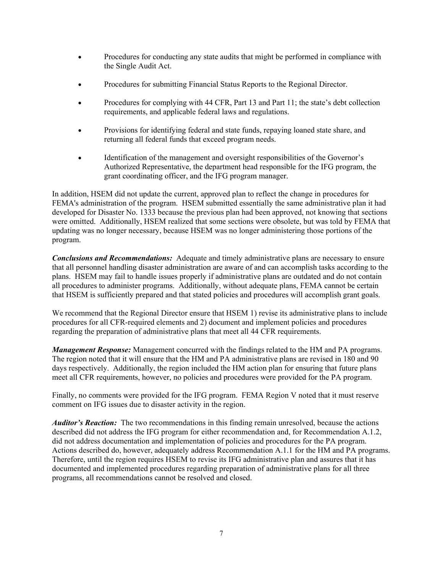- Procedures for conducting any state audits that might be performed in compliance with the Single Audit Act.
- Procedures for submitting Financial Status Reports to the Regional Director.
- Procedures for complying with 44 CFR, Part 13 and Part 11; the state's debt collection requirements, and applicable federal laws and regulations.
- Provisions for identifying federal and state funds, repaying loaned state share, and returning all federal funds that exceed program needs.
- Identification of the management and oversight responsibilities of the Governor's Authorized Representative, the department head responsible for the IFG program, the grant coordinating officer, and the IFG program manager.

In addition, HSEM did not update the current, approved plan to reflect the change in procedures for FEMA's administration of the program. HSEM submitted essentially the same administrative plan it had developed for Disaster No. 1333 because the previous plan had been approved, not knowing that sections were omitted. Additionally, HSEM realized that some sections were obsolete, but was told by FEMA that updating was no longer necessary, because HSEM was no longer administering those portions of the program.

*Conclusions and Recommendations:* Adequate and timely administrative plans are necessary to ensure that all personnel handling disaster administration are aware of and can accomplish tasks according to the plans. HSEM may fail to handle issues properly if administrative plans are outdated and do not contain all procedures to administer programs. Additionally, without adequate plans, FEMA cannot be certain that HSEM is sufficiently prepared and that stated policies and procedures will accomplish grant goals.

We recommend that the Regional Director ensure that HSEM 1) revise its administrative plans to include procedures for all CFR-required elements and 2) document and implement policies and procedures regarding the preparation of administrative plans that meet all 44 CFR requirements.

*Management Response:* Management concurred with the findings related to the HM and PA programs. The region noted that it will ensure that the HM and PA administrative plans are revised in 180 and 90 days respectively. Additionally, the region included the HM action plan for ensuring that future plans meet all CFR requirements, however, no policies and procedures were provided for the PA program.

Finally, no comments were provided for the IFG program. FEMA Region V noted that it must reserve comment on IFG issues due to disaster activity in the region.

*Auditor's Reaction:* The two recommendations in this finding remain unresolved, because the actions described did not address the IFG program for either recommendation and, for Recommendation A.1.2, did not address documentation and implementation of policies and procedures for the PA program. Actions described do, however, adequately address Recommendation A.1.1 for the HM and PA programs. Therefore, until the region requires HSEM to revise its IFG administrative plan and assures that it has documented and implemented procedures regarding preparation of administrative plans for all three programs, all recommendations cannot be resolved and closed.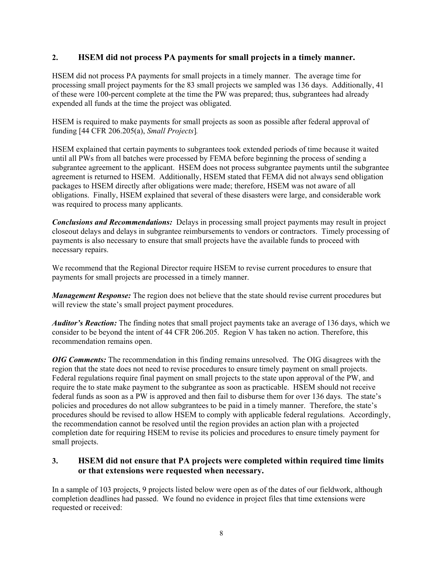#### **2. HSEM did not process PA payments for small projects in a timely manner.**

HSEM did not process PA payments for small projects in a timely manner. The average time for processing small project payments for the 83 small projects we sampled was 136 days. Additionally, 41 of these were 100-percent complete at the time the PW was prepared; thus, subgrantees had already expended all funds at the time the project was obligated.

HSEM is required to make payments for small projects as soon as possible after federal approval of funding [44 CFR 206.205(a), *Small Projects*]*.* 

HSEM explained that certain payments to subgrantees took extended periods of time because it waited until all PWs from all batches were processed by FEMA before beginning the process of sending a subgrantee agreement to the applicant. HSEM does not process subgrantee payments until the subgrantee agreement is returned to HSEM. Additionally, HSEM stated that FEMA did not always send obligation packages to HSEM directly after obligations were made; therefore, HSEM was not aware of all obligations. Finally, HSEM explained that several of these disasters were large, and considerable work was required to process many applicants.

*Conclusions and Recommendations:* Delays in processing small project payments may result in project closeout delays and delays in subgrantee reimbursements to vendors or contractors. Timely processing of payments is also necessary to ensure that small projects have the available funds to proceed with necessary repairs.

We recommend that the Regional Director require HSEM to revise current procedures to ensure that payments for small projects are processed in a timely manner.

*Management Response:* The region does not believe that the state should revise current procedures but will review the state's small project payment procedures.

*Auditor's Reaction:* The finding notes that small project payments take an average of 136 days, which we consider to be beyond the intent of 44 CFR 206.205. Region V has taken no action. Therefore, this recommendation remains open.

*OIG Comments:* The recommendation in this finding remains unresolved. The OIG disagrees with the region that the state does not need to revise procedures to ensure timely payment on small projects. Federal regulations require final payment on small projects to the state upon approval of the PW, and require the to state make payment to the subgrantee as soon as practicable. HSEM should not receive federal funds as soon as a PW is approved and then fail to disburse them for over 136 days. The state's policies and procedures do not allow subgrantees to be paid in a timely manner. Therefore, the state's procedures should be revised to allow HSEM to comply with applicable federal regulations. Accordingly, the recommendation cannot be resolved until the region provides an action plan with a projected completion date for requiring HSEM to revise its policies and procedures to ensure timely payment for small projects.

## **3. HSEM did not ensure that PA projects were completed within required time limits or that extensions were requested when necessary.**

In a sample of 103 projects, 9 projects listed below were open as of the dates of our fieldwork, although completion deadlines had passed. We found no evidence in project files that time extensions were requested or received: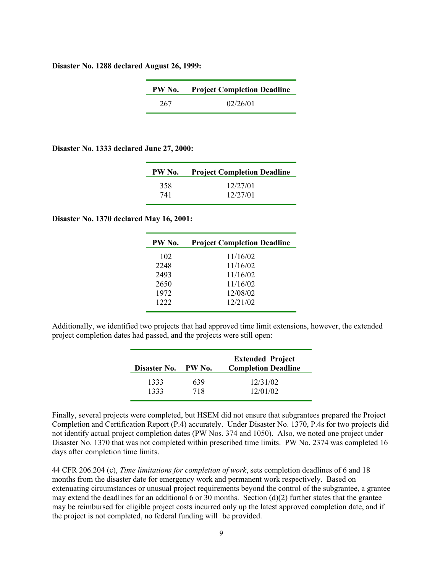**Disaster No. 1288 declared August 26, 1999:** 

| PW No. | <b>Project Completion Deadline</b> |
|--------|------------------------------------|
| 267    | 02/26/01                           |

**Disaster No. 1333 declared June 27, 2000:** 

| PW No. | <b>Project Completion Deadline</b> |
|--------|------------------------------------|
| 358    | 12/27/01                           |
| 741    | 12/27/01                           |

#### **Disaster No. 1370 declared May 16, 2001:**

| PW No. | <b>Project Completion Deadline</b> |
|--------|------------------------------------|
| 102    | 11/16/02                           |
| 2248   | 11/16/02                           |
| 2493   | 11/16/02                           |
| 2650   | 11/16/02                           |
| 1972   | 12/08/02                           |
| 1222   | 12/21/02                           |
|        |                                    |

Additionally, we identified two projects that had approved time limit extensions, however, the extended project completion dates had passed, and the projects were still open:

| Disaster No. | PW No. | <b>Extended Project</b><br><b>Completion Deadline</b> |
|--------------|--------|-------------------------------------------------------|
| 1333         | 639    | 12/31/02                                              |
| 1333         | 718    | 12/01/02                                              |

Finally, several projects were completed, but HSEM did not ensure that subgrantees prepared the Project Completion and Certification Report (P.4) accurately. Under Disaster No. 1370, P.4s for two projects did not identify actual project completion dates (PW Nos. 374 and 1050). Also, we noted one project under Disaster No. 1370 that was not completed within prescribed time limits. PW No. 2374 was completed 16 days after completion time limits.

44 CFR 206.204 (c), *Time limitations for completion of work*, sets completion deadlines of 6 and 18 months from the disaster date for emergency work and permanent work respectively. Based on extenuating circumstances or unusual project requirements beyond the control of the subgrantee, a grantee may extend the deadlines for an additional 6 or 30 months. Section  $(d)(2)$  further states that the grantee may be reimbursed for eligible project costs incurred only up the latest approved completion date, and if the project is not completed, no federal funding will be provided.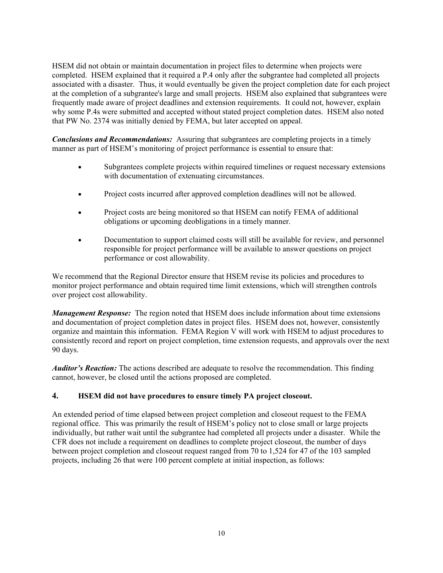HSEM did not obtain or maintain documentation in project files to determine when projects were completed. HSEM explained that it required a P.4 only after the subgrantee had completed all projects associated with a disaster. Thus, it would eventually be given the project completion date for each project at the completion of a subgrantee's large and small projects. HSEM also explained that subgrantees were frequently made aware of project deadlines and extension requirements. It could not, however, explain why some P.4s were submitted and accepted without stated project completion dates. HSEM also noted that PW No. 2374 was initially denied by FEMA, but later accepted on appeal.

*Conclusions and Recommendations:* Assuring that subgrantees are completing projects in a timely manner as part of HSEM's monitoring of project performance is essential to ensure that:

- Subgrantees complete projects within required timelines or request necessary extensions with documentation of extenuating circumstances.
- Project costs incurred after approved completion deadlines will not be allowed.
- Project costs are being monitored so that HSEM can notify FEMA of additional obligations or upcoming deobligations in a timely manner.
- Documentation to support claimed costs will still be available for review, and personnel responsible for project performance will be available to answer questions on project performance or cost allowability.

We recommend that the Regional Director ensure that HSEM revise its policies and procedures to monitor project performance and obtain required time limit extensions, which will strengthen controls over project cost allowability.

*Management Response:* The region noted that HSEM does include information about time extensions and documentation of project completion dates in project files. HSEM does not, however, consistently organize and maintain this information. FEMA Region V will work with HSEM to adjust procedures to consistently record and report on project completion, time extension requests, and approvals over the next 90 days.

*Auditor's Reaction:* The actions described are adequate to resolve the recommendation. This finding cannot, however, be closed until the actions proposed are completed.

#### **4. HSEM did not have procedures to ensure timely PA project closeout.**

An extended period of time elapsed between project completion and closeout request to the FEMA regional office. This was primarily the result of HSEM's policy not to close small or large projects individually, but rather wait until the subgrantee had completed all projects under a disaster. While the CFR does not include a requirement on deadlines to complete project closeout, the number of days between project completion and closeout request ranged from 70 to 1,524 for 47 of the 103 sampled projects, including 26 that were 100 percent complete at initial inspection, as follows: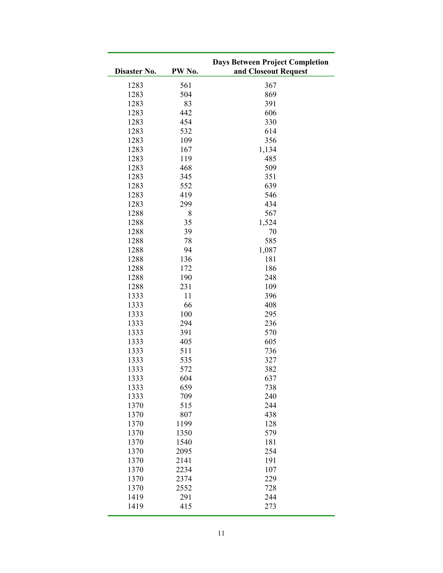| Disaster No. | PW No. | <b>Days Between Project Completion</b><br>and Closeout Request |
|--------------|--------|----------------------------------------------------------------|
| 1283         | 561    | 367                                                            |
| 1283         | 504    | 869                                                            |
| 1283         | 83     | 391                                                            |
| 1283         | 442    | 606                                                            |
| 1283         | 454    | 330                                                            |
| 1283         | 532    | 614                                                            |
| 1283         | 109    | 356                                                            |
| 1283         | 167    | 1,134                                                          |
| 1283         | 119    | 485                                                            |
| 1283         | 468    | 509                                                            |
| 1283         | 345    | 351                                                            |
| 1283         | 552    | 639                                                            |
| 1283         | 419    | 546                                                            |
| 1283         | 299    | 434                                                            |
| 1288         | $8\,$  | 567                                                            |
| 1288         | 35     | 1,524                                                          |
| 1288         | 39     | 70                                                             |
| 1288         | 78     | 585                                                            |
| 1288         | 94     | 1,087                                                          |
| 1288         | 136    | 181                                                            |
| 1288         | 172    | 186                                                            |
| 1288         | 190    | 248                                                            |
| 1288         | 231    | 109                                                            |
| 1333         | 11     | 396                                                            |
| 1333         | 66     | 408                                                            |
| 1333         | 100    | 295                                                            |
| 1333         | 294    | 236                                                            |
| 1333         | 391    | 570                                                            |
| 1333         | 405    | 605                                                            |
| 1333         | 511    | 736                                                            |
| 1333         | 535    | 327                                                            |
| 1333         | 572    | 382                                                            |
| 1333         | 604    | 637                                                            |
| 1333         | 659    | 738                                                            |
| 1333         | 709    | 240                                                            |
| 1370         | 515    | 244                                                            |
| 1370         | 807    | 438                                                            |
| 1370         | 1199   | 128                                                            |
| 1370         | 1350   | 579                                                            |
| 1370         | 1540   | 181                                                            |
| 1370         | 2095   | 254                                                            |
| 1370         | 2141   | 191                                                            |
| 1370         | 2234   | 107                                                            |
| 1370         | 2374   | 229                                                            |
| 1370         | 2552   | 728                                                            |
| 1419         | 291    | 244                                                            |
| 1419         | 415    | 273                                                            |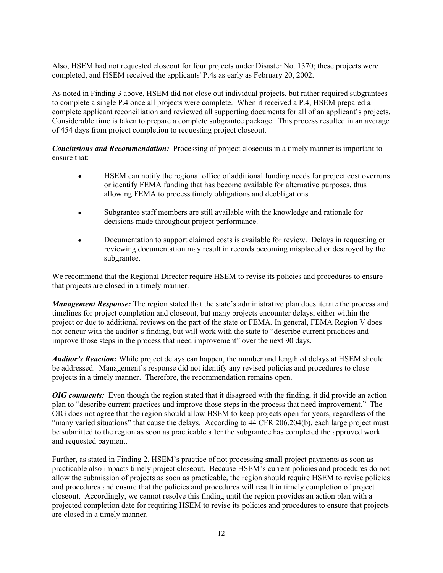Also, HSEM had not requested closeout for four projects under Disaster No. 1370; these projects were completed, and HSEM received the applicants' P.4s as early as February 20, 2002.

As noted in Finding 3 above, HSEM did not close out individual projects, but rather required subgrantees to complete a single P.4 once all projects were complete. When it received a P.4, HSEM prepared a complete applicant reconciliation and reviewed all supporting documents for all of an applicant's projects. Considerable time is taken to prepare a complete subgrantee package. This process resulted in an average of 454 days from project completion to requesting project closeout.

*Conclusions and Recommendation:* Processing of project closeouts in a timely manner is important to ensure that:

- HSEM can notify the regional office of additional funding needs for project cost overruns or identify FEMA funding that has become available for alternative purposes, thus allowing FEMA to process timely obligations and deobligations.
- Subgrantee staff members are still available with the knowledge and rationale for decisions made throughout project performance.
- Documentation to support claimed costs is available for review. Delays in requesting or reviewing documentation may result in records becoming misplaced or destroyed by the subgrantee.

We recommend that the Regional Director require HSEM to revise its policies and procedures to ensure that projects are closed in a timely manner.

*Management Response:* The region stated that the state's administrative plan does iterate the process and timelines for project completion and closeout, but many projects encounter delays, either within the project or due to additional reviews on the part of the state or FEMA. In general, FEMA Region V does not concur with the auditor's finding, but will work with the state to "describe current practices and improve those steps in the process that need improvement" over the next 90 days.

*Auditor's Reaction:* While project delays can happen, the number and length of delays at HSEM should be addressed. Management's response did not identify any revised policies and procedures to close projects in a timely manner. Therefore, the recommendation remains open.

*OIG comments:* Even though the region stated that it disagreed with the finding, it did provide an action plan to "describe current practices and improve those steps in the process that need improvement." The OIG does not agree that the region should allow HSEM to keep projects open for years, regardless of the "many varied situations" that cause the delays. According to 44 CFR 206.204(b), each large project must be submitted to the region as soon as practicable after the subgrantee has completed the approved work and requested payment.

Further, as stated in Finding 2, HSEM's practice of not processing small project payments as soon as practicable also impacts timely project closeout. Because HSEM's current policies and procedures do not allow the submission of projects as soon as practicable, the region should require HSEM to revise policies and procedures and ensure that the policies and procedures will result in timely completion of project closeout. Accordingly, we cannot resolve this finding until the region provides an action plan with a projected completion date for requiring HSEM to revise its policies and procedures to ensure that projects are closed in a timely manner.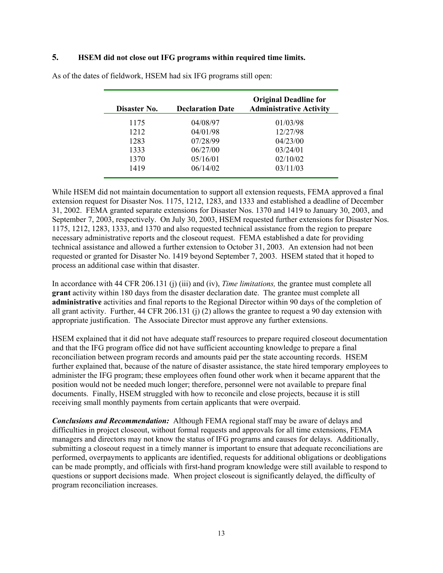#### **5. HSEM did not close out IFG programs within required time limits.**

| Disaster No. | <b>Declaration Date</b> | <b>Original Deadline for</b><br><b>Administrative Activity</b> |
|--------------|-------------------------|----------------------------------------------------------------|
| 1175         | 04/08/97                | 01/03/98                                                       |
| 1212         | 04/01/98                | 12/27/98                                                       |
| 1283         | 07/28/99                | 04/23/00                                                       |
| 1333         | 06/27/00                | 03/24/01                                                       |
| 1370         | 05/16/01                | 02/10/02                                                       |
| 1419         | 06/14/02                | 03/11/03                                                       |
|              |                         |                                                                |

As of the dates of fieldwork, HSEM had six IFG programs still open:

While HSEM did not maintain documentation to support all extension requests, FEMA approved a final extension request for Disaster Nos. 1175, 1212, 1283, and 1333 and established a deadline of December 31, 2002. FEMA granted separate extensions for Disaster Nos. 1370 and 1419 to January 30, 2003, and September 7, 2003, respectively. On July 30, 2003, HSEM requested further extensions for Disaster Nos. 1175, 1212, 1283, 1333, and 1370 and also requested technical assistance from the region to prepare necessary administrative reports and the closeout request. FEMA established a date for providing technical assistance and allowed a further extension to October 31, 2003. An extension had not been requested or granted for Disaster No. 1419 beyond September 7, 2003. HSEM stated that it hoped to process an additional case within that disaster.

In accordance with 44 CFR 206.131 (j) (iii) and (iv), *Time limitations,* the grantee must complete all **grant** activity within 180 days from the disaster declaration date. The grantee must complete all **administrative** activities and final reports to the Regional Director within 90 days of the completion of all grant activity. Further, 44 CFR 206.131 (j) (2) allows the grantee to request a 90 day extension with appropriate justification. The Associate Director must approve any further extensions.

HSEM explained that it did not have adequate staff resources to prepare required closeout documentation and that the IFG program office did not have sufficient accounting knowledge to prepare a final reconciliation between program records and amounts paid per the state accounting records. HSEM further explained that, because of the nature of disaster assistance, the state hired temporary employees to administer the IFG program; these employees often found other work when it became apparent that the position would not be needed much longer; therefore, personnel were not available to prepare final documents. Finally, HSEM struggled with how to reconcile and close projects, because it is still receiving small monthly payments from certain applicants that were overpaid.

*Conclusions and Recommendation:* Although FEMA regional staff may be aware of delays and difficulties in project closeout, without formal requests and approvals for all time extensions, FEMA managers and directors may not know the status of IFG programs and causes for delays. Additionally, submitting a closeout request in a timely manner is important to ensure that adequate reconciliations are performed, overpayments to applicants are identified, requests for additional obligations or deobligations can be made promptly, and officials with first-hand program knowledge were still available to respond to questions or support decisions made. When project closeout is significantly delayed, the difficulty of program reconciliation increases.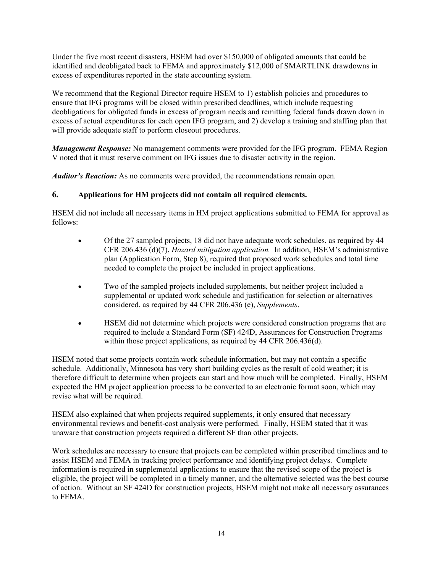Under the five most recent disasters, HSEM had over \$150,000 of obligated amounts that could be identified and deobligated back to FEMA and approximately \$12,000 of SMARTLINK drawdowns in excess of expenditures reported in the state accounting system.

We recommend that the Regional Director require HSEM to 1) establish policies and procedures to ensure that IFG programs will be closed within prescribed deadlines, which include requesting deobligations for obligated funds in excess of program needs and remitting federal funds drawn down in excess of actual expenditures for each open IFG program, and 2) develop a training and staffing plan that will provide adequate staff to perform closeout procedures.

*Management Response:* No management comments were provided for the IFG program. FEMA Region V noted that it must reserve comment on IFG issues due to disaster activity in the region.

*Auditor's Reaction:* As no comments were provided, the recommendations remain open.

## **6. Applications for HM projects did not contain all required elements.**

HSEM did not include all necessary items in HM project applications submitted to FEMA for approval as follows:

- Of the 27 sampled projects, 18 did not have adequate work schedules, as required by 44 CFR 206.436 (d)(7), *Hazard mitigation application.* In addition, HSEM's administrative plan (Application Form, Step 8), required that proposed work schedules and total time needed to complete the project be included in project applications.
- Two of the sampled projects included supplements, but neither project included a supplemental or updated work schedule and justification for selection or alternatives considered, as required by 44 CFR 206.436 (e), *Supplements*.
- HSEM did not determine which projects were considered construction programs that are required to include a Standard Form (SF) 424D, Assurances for Construction Programs within those project applications, as required by 44 CFR 206.436(d).

HSEM noted that some projects contain work schedule information, but may not contain a specific schedule. Additionally, Minnesota has very short building cycles as the result of cold weather; it is therefore difficult to determine when projects can start and how much will be completed. Finally, HSEM expected the HM project application process to be converted to an electronic format soon, which may revise what will be required.

HSEM also explained that when projects required supplements, it only ensured that necessary environmental reviews and benefit-cost analysis were performed. Finally, HSEM stated that it was unaware that construction projects required a different SF than other projects.

Work schedules are necessary to ensure that projects can be completed within prescribed timelines and to assist HSEM and FEMA in tracking project performance and identifying project delays. Complete information is required in supplemental applications to ensure that the revised scope of the project is eligible, the project will be completed in a timely manner, and the alternative selected was the best course of action. Without an SF 424D for construction projects, HSEM might not make all necessary assurances to FEMA.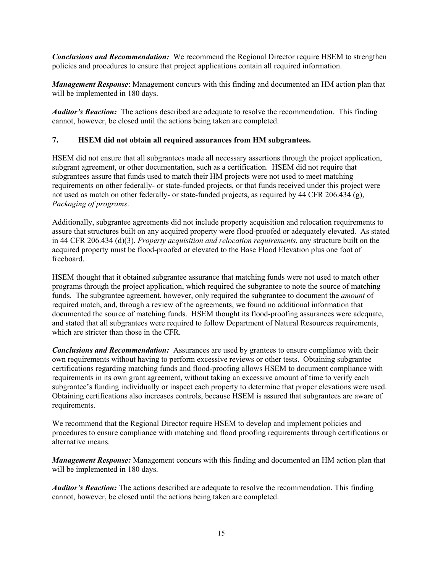*Conclusions and Recommendation:* We recommend the Regional Director require HSEM to strengthen policies and procedures to ensure that project applications contain all required information.

*Management Response*: Management concurs with this finding and documented an HM action plan that will be implemented in 180 days.

*Auditor's Reaction:* The actions described are adequate to resolve the recommendation. This finding cannot, however, be closed until the actions being taken are completed.

#### **7. HSEM did not obtain all required assurances from HM subgrantees.**

HSEM did not ensure that all subgrantees made all necessary assertions through the project application, subgrant agreement, or other documentation, such as a certification. HSEM did not require that subgrantees assure that funds used to match their HM projects were not used to meet matching requirements on other federally- or state-funded projects, or that funds received under this project were not used as match on other federally- or state-funded projects, as required by 44 CFR 206.434 (g), *Packaging of programs*.

Additionally, subgrantee agreements did not include property acquisition and relocation requirements to assure that structures built on any acquired property were flood-proofed or adequately elevated. As stated in 44 CFR 206.434 (d)(3), *Property acquisition and relocation requirements*, any structure built on the acquired property must be flood-proofed or elevated to the Base Flood Elevation plus one foot of freeboard.

HSEM thought that it obtained subgrantee assurance that matching funds were not used to match other programs through the project application, which required the subgrantee to note the source of matching funds. The subgrantee agreement, however, only required the subgrantee to document the *amount* of required match, and, through a review of the agreements, we found no additional information that documented the source of matching funds. HSEM thought its flood-proofing assurances were adequate, and stated that all subgrantees were required to follow Department of Natural Resources requirements, which are stricter than those in the CFR.

*Conclusions and Recommendation:* Assurances are used by grantees to ensure compliance with their own requirements without having to perform excessive reviews or other tests. Obtaining subgrantee certifications regarding matching funds and flood-proofing allows HSEM to document compliance with requirements in its own grant agreement, without taking an excessive amount of time to verify each subgrantee's funding individually or inspect each property to determine that proper elevations were used. Obtaining certifications also increases controls, because HSEM is assured that subgrantees are aware of requirements.

We recommend that the Regional Director require HSEM to develop and implement policies and procedures to ensure compliance with matching and flood proofing requirements through certifications or alternative means.

*Management Response:* Management concurs with this finding and documented an HM action plan that will be implemented in 180 days.

*Auditor's Reaction:* The actions described are adequate to resolve the recommendation. This finding cannot, however, be closed until the actions being taken are completed.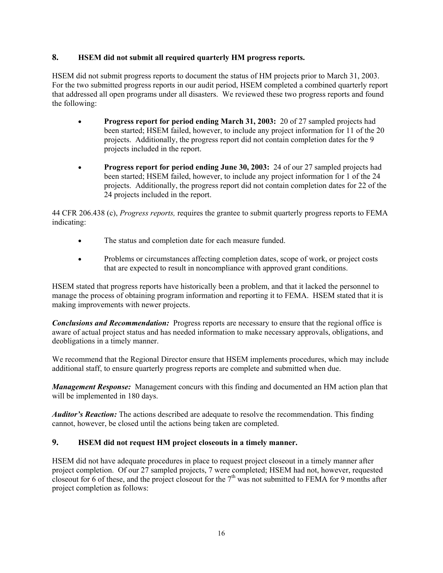#### **8. HSEM did not submit all required quarterly HM progress reports.**

HSEM did not submit progress reports to document the status of HM projects prior to March 31, 2003. For the two submitted progress reports in our audit period, HSEM completed a combined quarterly report that addressed all open programs under all disasters. We reviewed these two progress reports and found the following:

- **Progress report for period ending March 31, 2003:** 20 of 27 sampled projects had been started; HSEM failed, however, to include any project information for 11 of the 20 projects. Additionally, the progress report did not contain completion dates for the 9 projects included in the report.
- **Progress report for period ending June 30, 2003:** 24 of our 27 sampled projects had been started; HSEM failed, however, to include any project information for 1 of the 24 projects. Additionally, the progress report did not contain completion dates for 22 of the 24 projects included in the report.

44 CFR 206.438 (c), *Progress reports,* requires the grantee to submit quarterly progress reports to FEMA indicating:

- The status and completion date for each measure funded.
- Problems or circumstances affecting completion dates, scope of work, or project costs that are expected to result in noncompliance with approved grant conditions.

HSEM stated that progress reports have historically been a problem, and that it lacked the personnel to manage the process of obtaining program information and reporting it to FEMA. HSEM stated that it is making improvements with newer projects.

*Conclusions and Recommendation:* Progress reports are necessary to ensure that the regional office is aware of actual project status and has needed information to make necessary approvals, obligations, and deobligations in a timely manner.

We recommend that the Regional Director ensure that HSEM implements procedures, which may include additional staff, to ensure quarterly progress reports are complete and submitted when due.

*Management Response:* Management concurs with this finding and documented an HM action plan that will be implemented in 180 days.

*Auditor's Reaction:* The actions described are adequate to resolve the recommendation. This finding cannot, however, be closed until the actions being taken are completed.

## **9. HSEM did not request HM project closeouts in a timely manner.**

HSEM did not have adequate procedures in place to request project closeout in a timely manner after project completion. Of our 27 sampled projects, 7 were completed; HSEM had not, however, requested closeout for 6 of these, and the project closeout for the  $7<sup>th</sup>$  was not submitted to FEMA for 9 months after project completion as follows: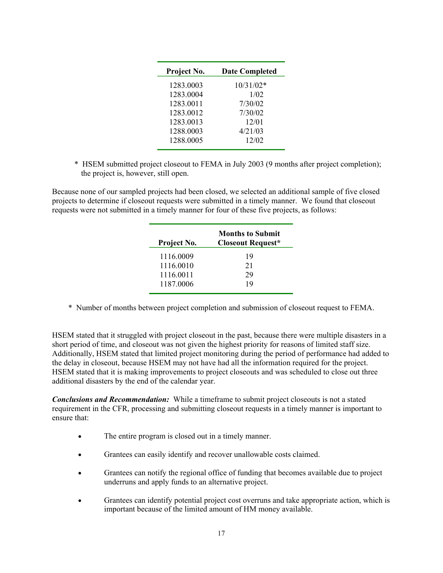| Project No. | <b>Date Completed</b> |
|-------------|-----------------------|
| 1283.0003   | $10/31/02*$           |
| 1283.0004   | 1/02                  |
| 1283.0011   | 7/30/02               |
| 1283.0012   | 7/30/02               |
| 1283.0013   | 12/01                 |
| 1288.0003   | 4/21/03               |
| 1288.0005   | 12/02                 |
|             |                       |

\* HSEM submitted project closeout to FEMA in July 2003 (9 months after project completion); the project is, however, still open.

Because none of our sampled projects had been closed, we selected an additional sample of five closed projects to determine if closeout requests were submitted in a timely manner. We found that closeout requests were not submitted in a timely manner for four of these five projects, as follows:

| Project No. | <b>Months to Submit</b><br><b>Closeout Request*</b> |
|-------------|-----------------------------------------------------|
| 1116.0009   | 19                                                  |
| 1116.0010   | 21                                                  |
| 1116.0011   | 29                                                  |
| 1187.0006   | 19                                                  |

\* Number of months between project completion and submission of closeout request to FEMA.

HSEM stated that it struggled with project closeout in the past, because there were multiple disasters in a short period of time, and closeout was not given the highest priority for reasons of limited staff size. Additionally, HSEM stated that limited project monitoring during the period of performance had added to the delay in closeout, because HSEM may not have had all the information required for the project. HSEM stated that it is making improvements to project closeouts and was scheduled to close out three additional disasters by the end of the calendar year.

*Conclusions and Recommendation:* While a timeframe to submit project closeouts is not a stated requirement in the CFR, processing and submitting closeout requests in a timely manner is important to ensure that:

- The entire program is closed out in a timely manner.
- Grantees can easily identify and recover unallowable costs claimed.
- Grantees can notify the regional office of funding that becomes available due to project underruns and apply funds to an alternative project.
- Grantees can identify potential project cost overruns and take appropriate action, which is important because of the limited amount of HM money available.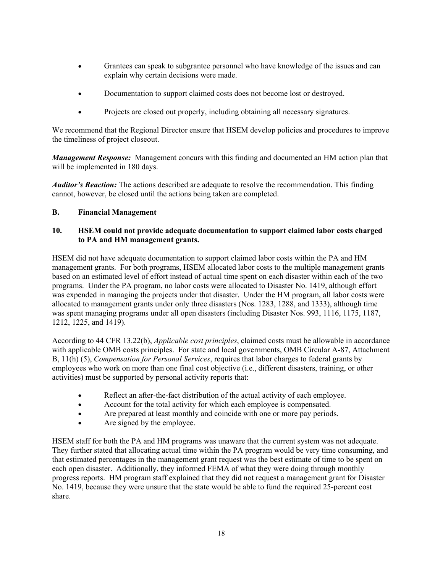- Grantees can speak to subgrantee personnel who have knowledge of the issues and can explain why certain decisions were made.
- Documentation to support claimed costs does not become lost or destroyed.
- Projects are closed out properly, including obtaining all necessary signatures.

We recommend that the Regional Director ensure that HSEM develop policies and procedures to improve the timeliness of project closeout.

*Management Response:* Management concurs with this finding and documented an HM action plan that will be implemented in 180 days.

*Auditor's Reaction:* The actions described are adequate to resolve the recommendation. This finding cannot, however, be closed until the actions being taken are completed.

#### **B. Financial Management**

#### **10. HSEM could not provide adequate documentation to support claimed labor costs charged to PA and HM management grants.**

HSEM did not have adequate documentation to support claimed labor costs within the PA and HM management grants. For both programs, HSEM allocated labor costs to the multiple management grants based on an estimated level of effort instead of actual time spent on each disaster within each of the two programs. Under the PA program, no labor costs were allocated to Disaster No. 1419, although effort was expended in managing the projects under that disaster. Under the HM program, all labor costs were allocated to management grants under only three disasters (Nos. 1283, 1288, and 1333), although time was spent managing programs under all open disasters (including Disaster Nos. 993, 1116, 1175, 1187, 1212, 1225, and 1419).

According to 44 CFR 13.22(b), *Applicable cost principles*, claimed costs must be allowable in accordance with applicable OMB costs principles. For state and local governments, OMB Circular A-87, Attachment B, 11(h) (5), *Compensation for Personal Services*, requires that labor charges to federal grants by employees who work on more than one final cost objective (i.e., different disasters, training, or other activities) must be supported by personal activity reports that:

- Reflect an after-the-fact distribution of the actual activity of each employee.
- Account for the total activity for which each employee is compensated.
- Are prepared at least monthly and coincide with one or more pay periods.
- Are signed by the employee.

HSEM staff for both the PA and HM programs was unaware that the current system was not adequate. They further stated that allocating actual time within the PA program would be very time consuming, and that estimated percentages in the management grant request was the best estimate of time to be spent on each open disaster. Additionally, they informed FEMA of what they were doing through monthly progress reports. HM program staff explained that they did not request a management grant for Disaster No. 1419, because they were unsure that the state would be able to fund the required 25-percent cost share.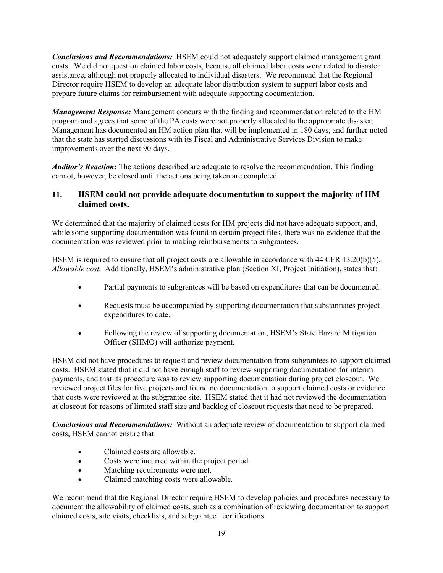*Conclusions and Recommendations:* HSEM could not adequately support claimed management grant costs. We did not question claimed labor costs, because all claimed labor costs were related to disaster assistance, although not properly allocated to individual disasters. We recommend that the Regional Director require HSEM to develop an adequate labor distribution system to support labor costs and prepare future claims for reimbursement with adequate supporting documentation.

*Management Response:* Management concurs with the finding and recommendation related to the HM program and agrees that some of the PA costs were not properly allocated to the appropriate disaster. Management has documented an HM action plan that will be implemented in 180 days, and further noted that the state has started discussions with its Fiscal and Administrative Services Division to make improvements over the next 90 days.

*Auditor's Reaction:* The actions described are adequate to resolve the recommendation. This finding cannot, however, be closed until the actions being taken are completed.

## **11. HSEM could not provide adequate documentation to support the majority of HM claimed costs.**

We determined that the majority of claimed costs for HM projects did not have adequate support, and, while some supporting documentation was found in certain project files, there was no evidence that the documentation was reviewed prior to making reimbursements to subgrantees.

HSEM is required to ensure that all project costs are allowable in accordance with 44 CFR 13.20(b)(5), *Allowable cost.* Additionally, HSEM's administrative plan (Section XI, Project Initiation), states that:

- Partial payments to subgrantees will be based on expenditures that can be documented.
- Requests must be accompanied by supporting documentation that substantiates project expenditures to date.
- Following the review of supporting documentation, HSEM's State Hazard Mitigation Officer (SHMO) will authorize payment.

HSEM did not have procedures to request and review documentation from subgrantees to support claimed costs. HSEM stated that it did not have enough staff to review supporting documentation for interim payments, and that its procedure was to review supporting documentation during project closeout. We reviewed project files for five projects and found no documentation to support claimed costs or evidence that costs were reviewed at the subgrantee site. HSEM stated that it had not reviewed the documentation at closeout for reasons of limited staff size and backlog of closeout requests that need to be prepared.

*Conclusions and Recommendations:* Without an adequate review of documentation to support claimed costs, HSEM cannot ensure that:

- Claimed costs are allowable.
- Costs were incurred within the project period.
- Matching requirements were met.
- Claimed matching costs were allowable.

We recommend that the Regional Director require HSEM to develop policies and procedures necessary to document the allowability of claimed costs, such as a combination of reviewing documentation to support claimed costs, site visits, checklists, and subgrantee certifications.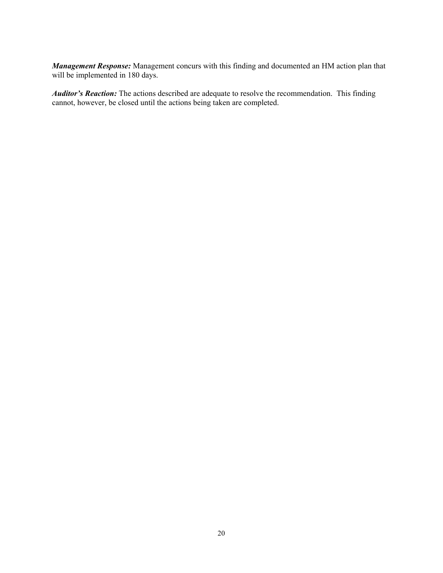*Management Response:* Management concurs with this finding and documented an HM action plan that will be implemented in 180 days.

*Auditor's Reaction:* The actions described are adequate to resolve the recommendation. This finding cannot, however, be closed until the actions being taken are completed.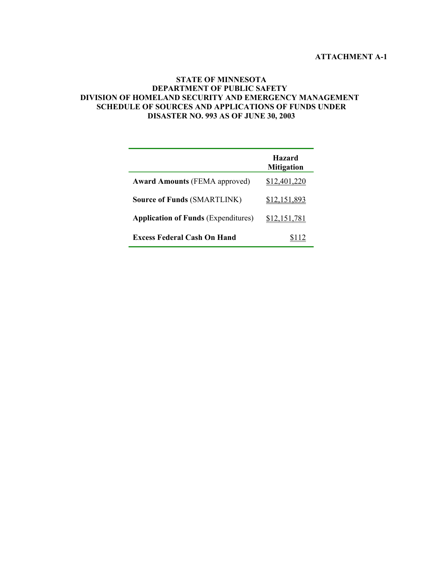#### **ATTACHMENT A-1**

#### **STATE OF MINNESOTA DEPARTMENT OF PUBLIC SAFETY DIVISION OF HOMELAND SECURITY AND EMERGENCY MANAGEMENT SCHEDULE OF SOURCES AND APPLICATIONS OF FUNDS UNDER DISASTER NO. 993 AS OF JUNE 30, 2003**

|                                            | <b>Hazard</b><br><b>Mitigation</b> |
|--------------------------------------------|------------------------------------|
| <b>Award Amounts (FEMA approved)</b>       | \$12,401,220                       |
| <b>Source of Funds (SMARTLINK)</b>         | \$12,151,893                       |
| <b>Application of Funds (Expenditures)</b> | \$12,151,781                       |
| <b>Excess Federal Cash On Hand</b>         |                                    |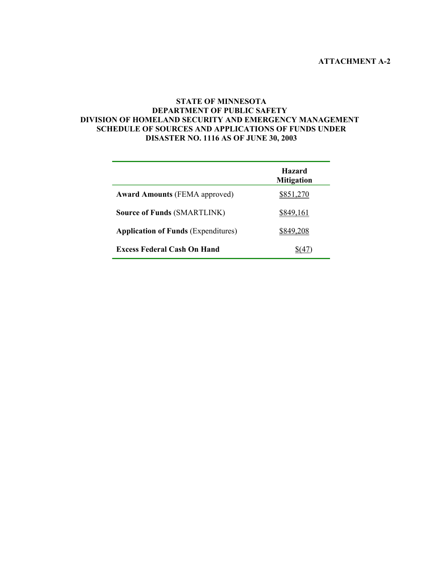#### **STATE OF MINNESOTA DEPARTMENT OF PUBLIC SAFETY DIVISION OF HOMELAND SECURITY AND EMERGENCY MANAGEMENT SCHEDULE OF SOURCES AND APPLICATIONS OF FUNDS UNDER DISASTER NO. 1116 AS OF JUNE 30, 2003**

|                                            | <b>Hazard</b><br><b>Mitigation</b> |
|--------------------------------------------|------------------------------------|
| <b>Award Amounts (FEMA approved)</b>       | \$851,270                          |
| <b>Source of Funds (SMARTLINK)</b>         | \$849,161                          |
| <b>Application of Funds (Expenditures)</b> | 8849 208                           |
| Excess Federal Cash On Hand                |                                    |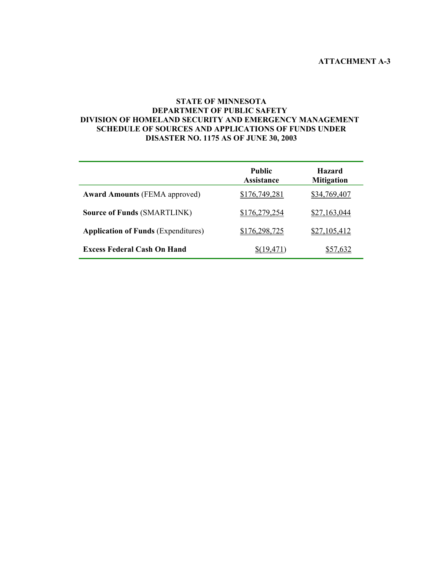#### **STATE OF MINNESOTA DEPARTMENT OF PUBLIC SAFETY DIVISION OF HOMELAND SECURITY AND EMERGENCY MANAGEMENT SCHEDULE OF SOURCES AND APPLICATIONS OF FUNDS UNDER DISASTER NO. 1175 AS OF JUNE 30, 2003**

|                                            | <b>Public</b><br><b>Assistance</b> | <b>Hazard</b><br><b>Mitigation</b> |
|--------------------------------------------|------------------------------------|------------------------------------|
| <b>Award Amounts (FEMA approved)</b>       | \$176,749,281                      | \$34,769,407                       |
| <b>Source of Funds (SMARTLINK)</b>         | \$176,279,254                      | \$27,163,044                       |
| <b>Application of Funds (Expenditures)</b> | \$176,298,725                      | \$27,105,412                       |
| <b>Excess Federal Cash On Hand</b>         | 19.471)                            |                                    |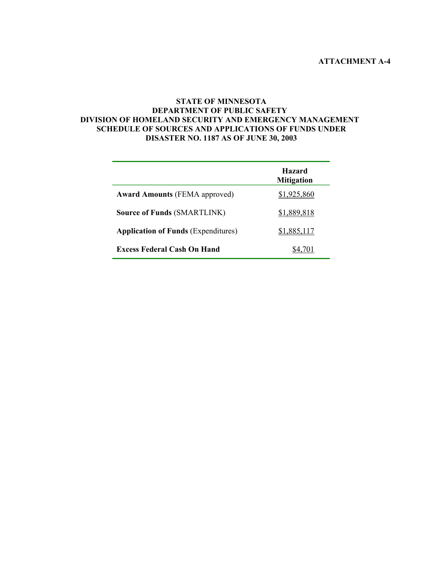#### **STATE OF MINNESOTA DEPARTMENT OF PUBLIC SAFETY DIVISION OF HOMELAND SECURITY AND EMERGENCY MANAGEMENT SCHEDULE OF SOURCES AND APPLICATIONS OF FUNDS UNDER DISASTER NO. 1187 AS OF JUNE 30, 2003**

|                                            | <b>Hazard</b><br><b>Mitigation</b> |
|--------------------------------------------|------------------------------------|
| <b>Award Amounts (FEMA approved)</b>       | \$1,925,860                        |
| <b>Source of Funds (SMARTLINK)</b>         | \$1,889,818                        |
| <b>Application of Funds (Expenditures)</b> | \$1,885,117                        |
| <b>Excess Federal Cash On Hand</b>         |                                    |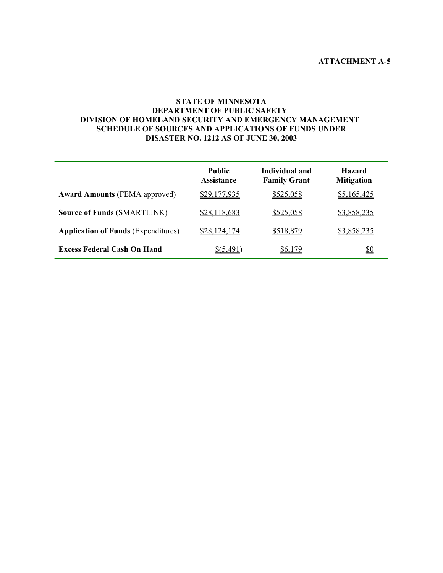#### **STATE OF MINNESOTA DEPARTMENT OF PUBLIC SAFETY DIVISION OF HOMELAND SECURITY AND EMERGENCY MANAGEMENT SCHEDULE OF SOURCES AND APPLICATIONS OF FUNDS UNDER DISASTER NO. 1212 AS OF JUNE 30, 2003**

|                                            | <b>Public</b><br><b>Assistance</b> | Individual and<br><b>Family Grant</b> | <b>Hazard</b><br><b>Mitigation</b> |
|--------------------------------------------|------------------------------------|---------------------------------------|------------------------------------|
| <b>Award Amounts (FEMA approved)</b>       | \$29,177,935                       | \$525,058                             | \$5,165,425                        |
| <b>Source of Funds (SMARTLINK)</b>         | \$28,118,683                       | \$525,058                             | \$3,858,235                        |
| <b>Application of Funds (Expenditures)</b> | \$28,124,174                       | \$518,879                             | \$3,858,235                        |
| <b>Excess Federal Cash On Hand</b>         | \$(5.491)                          | \$6,179                               | <u>\$0</u>                         |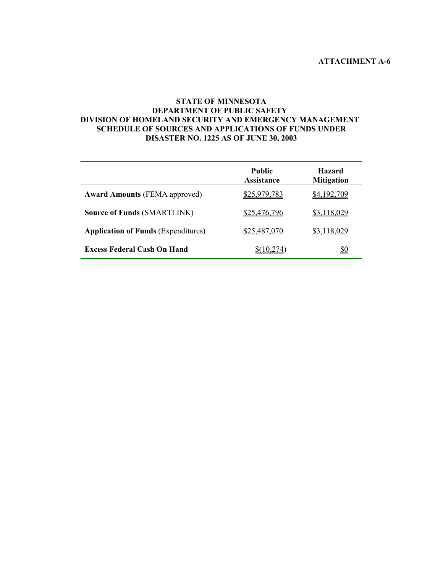#### **STATE OF MINNESOTA DEPARTMENT OF PUBLIC SAFETY DIVISION OF HOMELAND SECURITY AND EMERGENCY MANAGEMENT SCHEDULE OF SOURCES AND APPLICATIONS OF FUNDS UNDER DISASTER NO. 1225 AS OF JUNE 30, 2003**

|                                            | <b>Public</b><br><b>Assistance</b> | <b>Hazard</b><br><b>Mitigation</b> |
|--------------------------------------------|------------------------------------|------------------------------------|
| <b>Award Amounts (FEMA approved)</b>       | \$25,979,783                       | \$4,192,709                        |
| <b>Source of Funds (SMARTLINK)</b>         | \$25,476,796                       | \$3,118,029                        |
| <b>Application of Funds (Expenditures)</b> | \$25,487,070                       | \$3.118.029                        |
| <b>Excess Federal Cash On Hand</b>         | 10.274                             | <u>\$0</u>                         |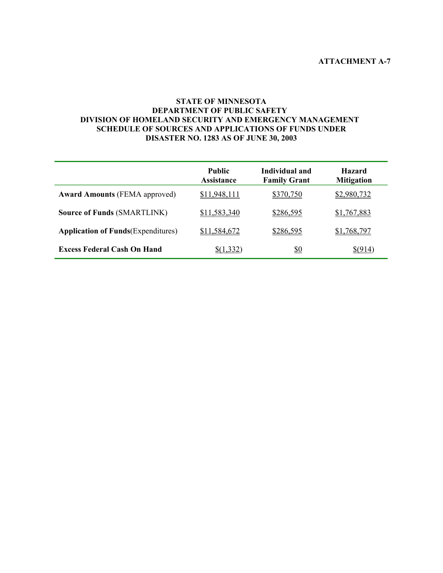#### **STATE OF MINNESOTA DEPARTMENT OF PUBLIC SAFETY DIVISION OF HOMELAND SECURITY AND EMERGENCY MANAGEMENT SCHEDULE OF SOURCES AND APPLICATIONS OF FUNDS UNDER DISASTER NO. 1283 AS OF JUNE 30, 2003**

|                                            | <b>Public</b><br><b>Assistance</b> | Individual and<br><b>Family Grant</b> | <b>Hazard</b><br><b>Mitigation</b> |
|--------------------------------------------|------------------------------------|---------------------------------------|------------------------------------|
| <b>Award Amounts (FEMA approved)</b>       | \$11,948,111                       | \$370,750                             | \$2,980,732                        |
| <b>Source of Funds (SMARTLINK)</b>         | \$11,583,340                       | \$286,595                             | \$1,767,883                        |
| <b>Application of Funds</b> (Expenditures) | \$11,584,672                       | \$286,595                             | \$1,768,797                        |
| <b>Excess Federal Cash On Hand</b>         | \$(1.332)                          | <u>\$0</u>                            | \$(914)                            |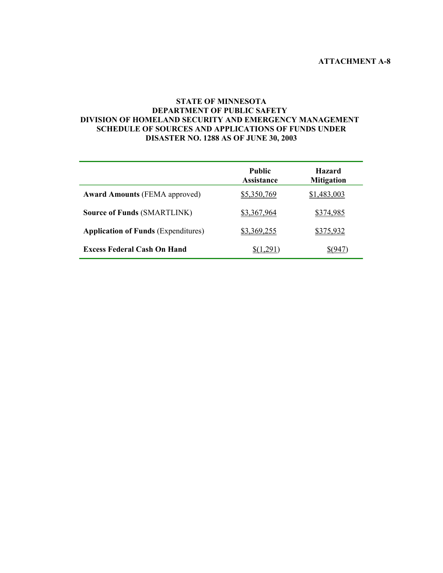#### **STATE OF MINNESOTA DEPARTMENT OF PUBLIC SAFETY DIVISION OF HOMELAND SECURITY AND EMERGENCY MANAGEMENT SCHEDULE OF SOURCES AND APPLICATIONS OF FUNDS UNDER DISASTER NO. 1288 AS OF JUNE 30, 2003**

|                                            | <b>Public</b><br><b>Assistance</b> | <b>Hazard</b><br><b>Mitigation</b> |
|--------------------------------------------|------------------------------------|------------------------------------|
| <b>Award Amounts (FEMA approved)</b>       | \$5,350,769                        | \$1,483,003                        |
| <b>Source of Funds (SMARTLINK)</b>         | \$3,367,964                        | \$374,985                          |
| <b>Application of Funds (Expenditures)</b> | \$3,369,255                        | <u>\$375,932</u>                   |
| <b>Excess Federal Cash On Hand</b>         |                                    |                                    |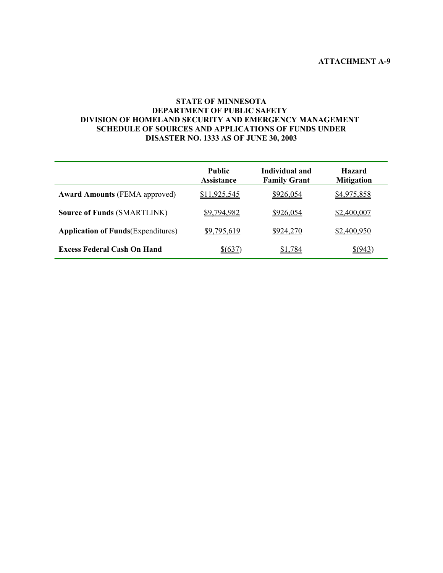#### **STATE OF MINNESOTA DEPARTMENT OF PUBLIC SAFETY DIVISION OF HOMELAND SECURITY AND EMERGENCY MANAGEMENT SCHEDULE OF SOURCES AND APPLICATIONS OF FUNDS UNDER DISASTER NO. 1333 AS OF JUNE 30, 2003**

|                                            | <b>Public</b><br><b>Assistance</b> | Individual and<br><b>Family Grant</b> | <b>Hazard</b><br><b>Mitigation</b> |
|--------------------------------------------|------------------------------------|---------------------------------------|------------------------------------|
| <b>Award Amounts (FEMA approved)</b>       | \$11,925,545                       | \$926,054                             | \$4,975,858                        |
| <b>Source of Funds (SMARTLINK)</b>         | \$9,794,982                        | \$926,054                             | \$2,400,007                        |
| <b>Application of Funds</b> (Expenditures) | \$9,795,619                        | \$924,270                             | \$2,400,950                        |
| <b>Excess Federal Cash On Hand</b>         | \$(637)                            | \$1,784                               | \$(943)                            |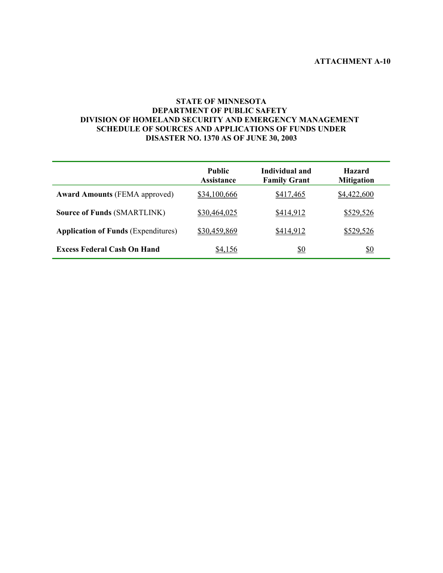#### **STATE OF MINNESOTA DEPARTMENT OF PUBLIC SAFETY DIVISION OF HOMELAND SECURITY AND EMERGENCY MANAGEMENT SCHEDULE OF SOURCES AND APPLICATIONS OF FUNDS UNDER DISASTER NO. 1370 AS OF JUNE 30, 2003**

|                                            | <b>Public</b><br><b>Assistance</b> | Individual and<br><b>Family Grant</b> | <b>Hazard</b><br><b>Mitigation</b> |
|--------------------------------------------|------------------------------------|---------------------------------------|------------------------------------|
| <b>Award Amounts (FEMA approved)</b>       | \$34,100,666                       | \$417,465                             | \$4,422,600                        |
| <b>Source of Funds (SMARTLINK)</b>         | \$30,464,025                       | \$414,912                             | \$529,526                          |
| <b>Application of Funds (Expenditures)</b> | \$30,459,869                       | \$414,912                             | \$529,526                          |
| <b>Excess Federal Cash On Hand</b>         | \$4,156                            | <u>\$0</u>                            | <u>\$0</u>                         |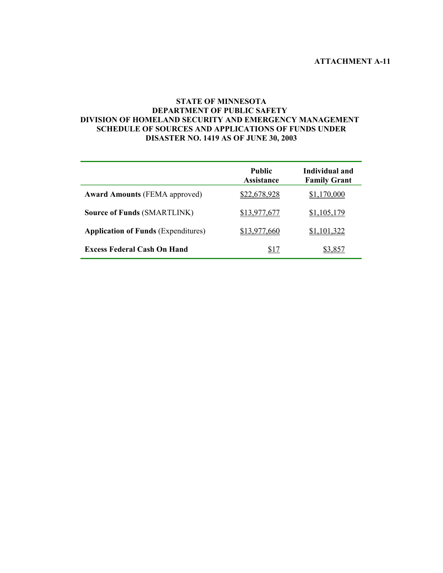#### **STATE OF MINNESOTA DEPARTMENT OF PUBLIC SAFETY DIVISION OF HOMELAND SECURITY AND EMERGENCY MANAGEMENT SCHEDULE OF SOURCES AND APPLICATIONS OF FUNDS UNDER DISASTER NO. 1419 AS OF JUNE 30, 2003**

|                                            | <b>Public</b><br><b>Assistance</b> | Individual and<br><b>Family Grant</b> |
|--------------------------------------------|------------------------------------|---------------------------------------|
| <b>Award Amounts (FEMA approved)</b>       | \$22,678,928                       | \$1,170,000                           |
| <b>Source of Funds (SMARTLINK)</b>         | \$13,977,677                       | \$1,105,179                           |
| <b>Application of Funds (Expenditures)</b> | \$13,977,660                       | \$1,101,322                           |
| <b>Excess Federal Cash On Hand</b>         | \$17                               |                                       |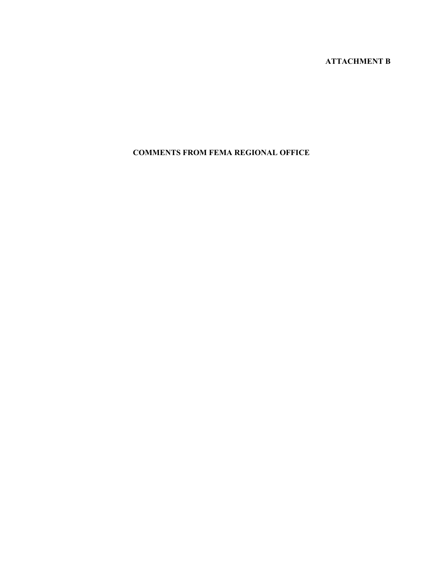# **ATTACHMENT B**

# **COMMENTS FROM FEMA REGIONAL OFFICE**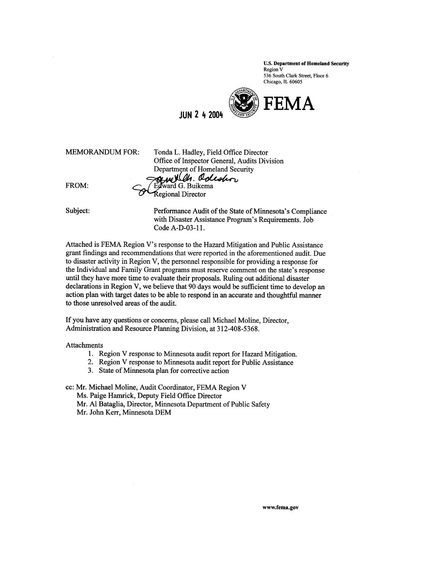**U.S. Department of Homeland Security** Region V 536 South Clark Street, Floor 6 Chicago, IL 60605



**IIIN 2 4 2004** 

| <b>MEMORANDUM FOR:</b> | Tonda L. Hadley, Field Office Director       |
|------------------------|----------------------------------------------|
|                        | Office of Inspector General, Audits Division |
|                        | Department of Homeland Security              |
|                        | Sur VCh. Odeshor                             |
| FROM:                  |                                              |
|                        | Regional Director                            |
|                        |                                              |

Subject: Performance Audit of the State of Minnesota's Compliance with Disaster Assistance Program's Requirements. Job Code A-D-03-11.

Attached is FEMA Region V's response to the Hazard Mitigation and Public Assistance grant findings and recommendations that were reported in the aforementioned audit. Due to disaster activity in Region V, the personnel responsible for providing a response for the Individual and Family Grant programs must reserve comment on the state's response until they have more time to evaluate their proposals. Ruling out additional disaster declarations in Region V, we believe that 90 days would be sufficient time to develop an action plan with target dates to be able to respond in an accurate and thoughtful manner to those unresolved areas of the audit.

If you have any questions or concerns, please call Michael Moline, Director, Administration and Resource Planning Division, at 312-408-5368.

Attachments

- 1. Region V response to Minnesota audit report for Hazard Mitigation.
- 2. Region V response to Minnesota audit report for Public Assistance
- 3. State of Minnesota plan for corrective action

cc: Mr. Michael Moline, Audit Coordinator, FEMA Region V

Ms. Paige Hamrick, Deputy Field Office Director

- Mr. Al Bataglia, Director, Minnesota Department of Public Safety
- Mr. John Kerr, Minnesota DEM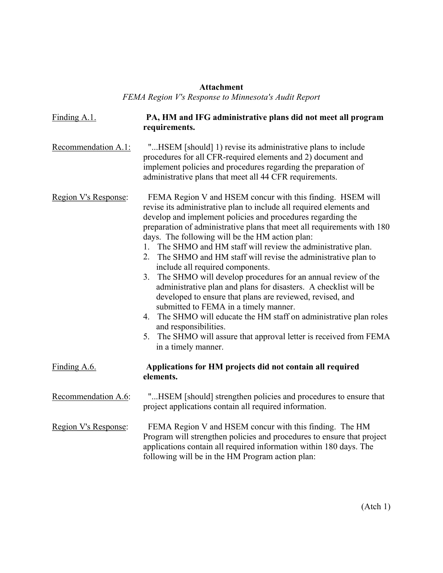## **Attachment**

*FEMA Region V's Response to Minnesota's Audit Report* 

| Finding A.1.         | PA, HM and IFG administrative plans did not meet all program<br>requirements.                                                                                                                                                                                                                                                                                                                                                                                                                                                                                                                                                                                                                                                                                                                                                                                                                                                                      |
|----------------------|----------------------------------------------------------------------------------------------------------------------------------------------------------------------------------------------------------------------------------------------------------------------------------------------------------------------------------------------------------------------------------------------------------------------------------------------------------------------------------------------------------------------------------------------------------------------------------------------------------------------------------------------------------------------------------------------------------------------------------------------------------------------------------------------------------------------------------------------------------------------------------------------------------------------------------------------------|
| Recommendation A.1:  | "HSEM [should] 1) revise its administrative plans to include<br>procedures for all CFR-required elements and 2) document and<br>implement policies and procedures regarding the preparation of<br>administrative plans that meet all 44 CFR requirements.                                                                                                                                                                                                                                                                                                                                                                                                                                                                                                                                                                                                                                                                                          |
| Region V's Response: | FEMA Region V and HSEM concur with this finding. HSEM will<br>revise its administrative plan to include all required elements and<br>develop and implement policies and procedures regarding the<br>preparation of administrative plans that meet all requirements with 180<br>days. The following will be the HM action plan:<br>1. The SHMO and HM staff will review the administrative plan.<br>2. The SHMO and HM staff will revise the administrative plan to<br>include all required components.<br>The SHMO will develop procedures for an annual review of the<br>3.<br>administrative plan and plans for disasters. A checklist will be<br>developed to ensure that plans are reviewed, revised, and<br>submitted to FEMA in a timely manner.<br>4. The SHMO will educate the HM staff on administrative plan roles<br>and responsibilities.<br>5. The SHMO will assure that approval letter is received from FEMA<br>in a timely manner. |
| Finding A.6.         | Applications for HM projects did not contain all required<br>elements.                                                                                                                                                                                                                                                                                                                                                                                                                                                                                                                                                                                                                                                                                                                                                                                                                                                                             |
| Recommendation A.6:  | "HSEM [should] strengthen policies and procedures to ensure that<br>project applications contain all required information.                                                                                                                                                                                                                                                                                                                                                                                                                                                                                                                                                                                                                                                                                                                                                                                                                         |
| Region V's Response: | FEMA Region V and HSEM concur with this finding. The HM<br>Program will strengthen policies and procedures to ensure that project<br>applications contain all required information within 180 days. The<br>following will be in the HM Program action plan:                                                                                                                                                                                                                                                                                                                                                                                                                                                                                                                                                                                                                                                                                        |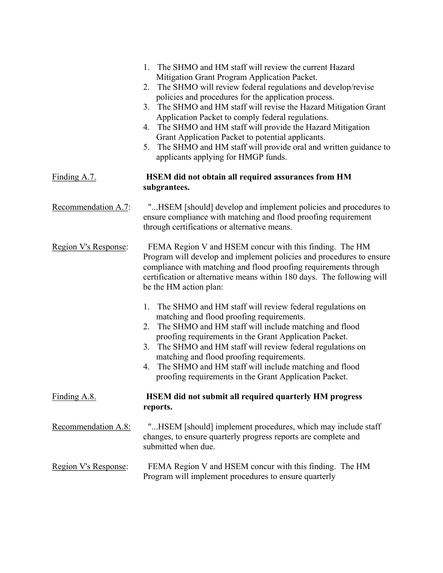|                      | The SHMO and HM staff will review the current Hazard<br>1.<br>Mitigation Grant Program Application Packet.<br>The SHMO will review federal regulations and develop/revise<br>2.<br>policies and procedures for the application process.<br>3. The SHMO and HM staff will revise the Hazard Mitigation Grant<br>Application Packet to comply federal regulations.<br>4. The SHMO and HM staff will provide the Hazard Mitigation<br>Grant Application Packet to potential applicants.<br>The SHMO and HM staff will provide oral and written guidance to<br>5.<br>applicants applying for HMGP funds. |
|----------------------|------------------------------------------------------------------------------------------------------------------------------------------------------------------------------------------------------------------------------------------------------------------------------------------------------------------------------------------------------------------------------------------------------------------------------------------------------------------------------------------------------------------------------------------------------------------------------------------------------|
| Finding $A.7$ .      | HSEM did not obtain all required assurances from HM<br>subgrantees.                                                                                                                                                                                                                                                                                                                                                                                                                                                                                                                                  |
| Recommendation A.7:  | "HSEM [should] develop and implement policies and procedures to<br>ensure compliance with matching and flood proofing requirement<br>through certifications or alternative means.                                                                                                                                                                                                                                                                                                                                                                                                                    |
| Region V's Response: | FEMA Region V and HSEM concur with this finding. The HM<br>Program will develop and implement policies and procedures to ensure<br>compliance with matching and flood proofing requirements through<br>certification or alternative means within 180 days. The following will<br>be the HM action plan:                                                                                                                                                                                                                                                                                              |
|                      | 1. The SHMO and HM staff will review federal regulations on<br>matching and flood proofing requirements.<br>The SHMO and HM staff will include matching and flood<br>2.<br>proofing requirements in the Grant Application Packet.<br>3. The SHMO and HM staff will review federal regulations on<br>matching and flood proofing requirements.<br>4. The SHMO and HM staff will include matching and flood<br>proofing requirements in the Grant Application Packet.                                                                                                                                  |
| Finding A.8.         | <b>HSEM</b> did not submit all required quarterly HM progress<br>reports.                                                                                                                                                                                                                                                                                                                                                                                                                                                                                                                            |
| Recommendation A.8:  | "HSEM [should] implement procedures, which may include staff<br>changes, to ensure quarterly progress reports are complete and<br>submitted when due.                                                                                                                                                                                                                                                                                                                                                                                                                                                |
| Region V's Response: | FEMA Region V and HSEM concur with this finding. The HM<br>Program will implement procedures to ensure quarterly                                                                                                                                                                                                                                                                                                                                                                                                                                                                                     |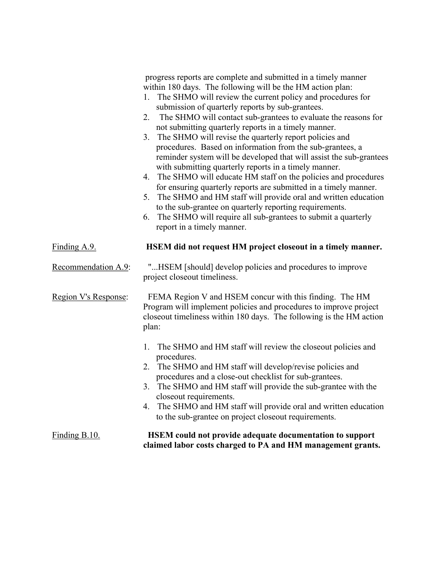|                      | progress reports are complete and submitted in a timely manner<br>within 180 days. The following will be the HM action plan:<br>1. The SHMO will review the current policy and procedures for<br>submission of quarterly reports by sub-grantees.<br>The SHMO will contact sub-grantees to evaluate the reasons for<br>2.<br>not submitting quarterly reports in a timely manner.<br>The SHMO will revise the quarterly report policies and<br>3.<br>procedures. Based on information from the sub-grantees, a<br>reminder system will be developed that will assist the sub-grantees<br>with submitting quarterly reports in a timely manner.<br>4. The SHMO will educate HM staff on the policies and procedures<br>for ensuring quarterly reports are submitted in a timely manner.<br>The SHMO and HM staff will provide oral and written education<br>5.<br>to the sub-grantee on quarterly reporting requirements.<br>The SHMO will require all sub-grantees to submit a quarterly<br>6.<br>report in a timely manner. |
|----------------------|------------------------------------------------------------------------------------------------------------------------------------------------------------------------------------------------------------------------------------------------------------------------------------------------------------------------------------------------------------------------------------------------------------------------------------------------------------------------------------------------------------------------------------------------------------------------------------------------------------------------------------------------------------------------------------------------------------------------------------------------------------------------------------------------------------------------------------------------------------------------------------------------------------------------------------------------------------------------------------------------------------------------------|
| Finding $A.9$ .      | HSEM did not request HM project closeout in a timely manner.                                                                                                                                                                                                                                                                                                                                                                                                                                                                                                                                                                                                                                                                                                                                                                                                                                                                                                                                                                 |
| Recommendation A.9:  | "HSEM [should] develop policies and procedures to improve<br>project closeout timeliness.                                                                                                                                                                                                                                                                                                                                                                                                                                                                                                                                                                                                                                                                                                                                                                                                                                                                                                                                    |
| Region V's Response: | FEMA Region V and HSEM concur with this finding. The HM<br>Program will implement policies and procedures to improve project<br>close out timeliness within 180 days. The following is the HM action<br>plan:                                                                                                                                                                                                                                                                                                                                                                                                                                                                                                                                                                                                                                                                                                                                                                                                                |
|                      | The SHMO and HM staff will review the closeout policies and<br>1.<br>procedures.<br>2. The SHMO and HM staff will develop/revise policies and<br>procedures and a close-out checklist for sub-grantees.<br>3. The SHMO and HM staff will provide the sub-grantee with the<br>close out requirements.<br>The SHMO and HM staff will provide oral and written education<br>4.<br>to the sub-grantee on project closeout requirements.                                                                                                                                                                                                                                                                                                                                                                                                                                                                                                                                                                                          |
| $Finding B.10.$      | <b>HSEM</b> could not provide adequate documentation to support<br>claimed labor costs charged to PA and HM management grants.                                                                                                                                                                                                                                                                                                                                                                                                                                                                                                                                                                                                                                                                                                                                                                                                                                                                                               |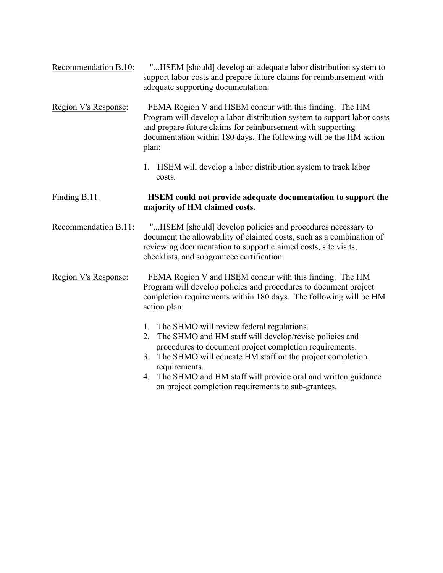- Recommendation B.10: "...HSEM [should] develop an adequate labor distribution system to support labor costs and prepare future claims for reimbursement with adequate supporting documentation:
- Region V's Response: FEMA Region V and HSEM concur with this finding. The HM Program will develop a labor distribution system to support labor costs and prepare future claims for reimbursement with supporting documentation within 180 days. The following will be the HM action plan:
	- 1. HSEM will develop a labor distribution system to track labor costs.

#### Finding B.11. **HSEM could not provide adequate documentation to support the majority of HM claimed costs.**

Recommendation B.11: "...HSEM [should] develop policies and procedures necessary to document the allowability of claimed costs, such as a combination of reviewing documentation to support claimed costs, site visits, checklists, and subgranteee certification.

Region V's Response: FEMA Region V and HSEM concur with this finding. The HM Program will develop policies and procedures to document project completion requirements within 180 days. The following will be HM action plan:

- 1. The SHMO will review federal regulations.
- 2. The SHMO and HM staff will develop/revise policies and procedures to document project completion requirements.
- 3. The SHMO will educate HM staff on the project completion requirements.
- 4. The SHMO and HM staff will provide oral and written guidance on project completion requirements to sub-grantees.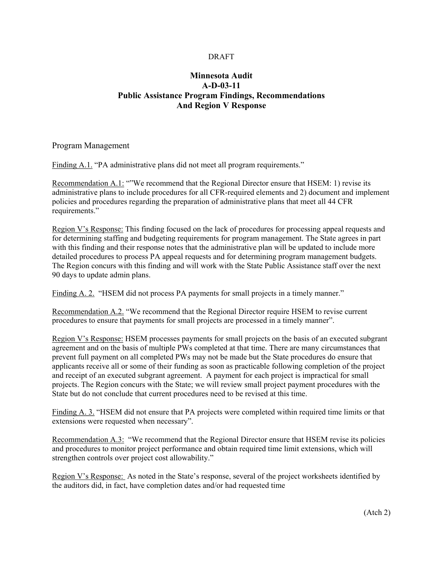#### DRAFT

## **Minnesota Audit A-D-03-11 Public Assistance Program Findings, Recommendations And Region V Response**

Program Management

Finding A.1. "PA administrative plans did not meet all program requirements."

Recommendation A.1: ""We recommend that the Regional Director ensure that HSEM: 1) revise its administrative plans to include procedures for all CFR-required elements and 2) document and implement policies and procedures regarding the preparation of administrative plans that meet all 44 CFR requirements."

Region V's Response: This finding focused on the lack of procedures for processing appeal requests and for determining staffing and budgeting requirements for program management. The State agrees in part with this finding and their response notes that the administrative plan will be updated to include more detailed procedures to process PA appeal requests and for determining program management budgets. The Region concurs with this finding and will work with the State Public Assistance staff over the next 90 days to update admin plans.

Finding A. 2. "HSEM did not process PA payments for small projects in a timely manner."

Recommendation A.2. "We recommend that the Regional Director require HSEM to revise current procedures to ensure that payments for small projects are processed in a timely manner".

Region V's Response: HSEM processes payments for small projects on the basis of an executed subgrant agreement and on the basis of multiple PWs completed at that time. There are many circumstances that prevent full payment on all completed PWs may not be made but the State procedures do ensure that applicants receive all or some of their funding as soon as practicable following completion of the project and receipt of an executed subgrant agreement. A payment for each project is impractical for small projects. The Region concurs with the State; we will review small project payment procedures with the State but do not conclude that current procedures need to be revised at this time.

Finding A. 3. "HSEM did not ensure that PA projects were completed within required time limits or that extensions were requested when necessary".

Recommendation A.3: "We recommend that the Regional Director ensure that HSEM revise its policies and procedures to monitor project performance and obtain required time limit extensions, which will strengthen controls over project cost allowability."

Region V's Response: As noted in the State's response, several of the project worksheets identified by the auditors did, in fact, have completion dates and/or had requested time

(Atch 2)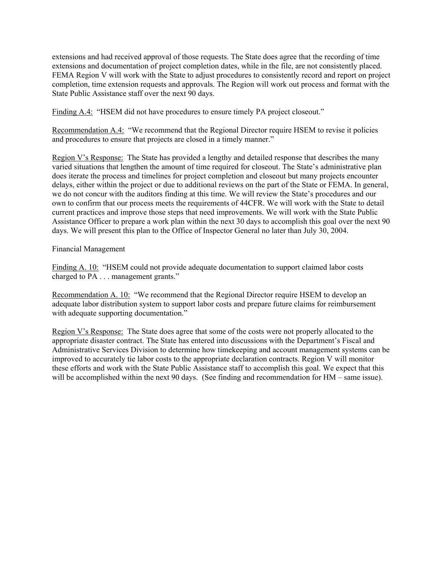extensions and had received approval of those requests. The State does agree that the recording of time extensions and documentation of project completion dates, while in the file, are not consistently placed. FEMA Region V will work with the State to adjust procedures to consistently record and report on project completion, time extension requests and approvals. The Region will work out process and format with the State Public Assistance staff over the next 90 days.

Finding A.4: "HSEM did not have procedures to ensure timely PA project closeout."

Recommendation A.4: "We recommend that the Regional Director require HSEM to revise it policies and procedures to ensure that projects are closed in a timely manner."

Region V's Response: The State has provided a lengthy and detailed response that describes the many varied situations that lengthen the amount of time required for closeout. The State's administrative plan does iterate the process and timelines for project completion and closeout but many projects encounter delays, either within the project or due to additional reviews on the part of the State or FEMA. In general, we do not concur with the auditors finding at this time. We will review the State's procedures and our own to confirm that our process meets the requirements of 44CFR. We will work with the State to detail current practices and improve those steps that need improvements. We will work with the State Public Assistance Officer to prepare a work plan within the next 30 days to accomplish this goal over the next 90 days. We will present this plan to the Office of Inspector General no later than July 30, 2004.

Financial Management

Finding A. 10: "HSEM could not provide adequate documentation to support claimed labor costs charged to PA . . . management grants."

Recommendation A. 10: "We recommend that the Regional Director require HSEM to develop an adequate labor distribution system to support labor costs and prepare future claims for reimbursement with adequate supporting documentation."

Region V's Response: The State does agree that some of the costs were not properly allocated to the appropriate disaster contract. The State has entered into discussions with the Department's Fiscal and Administrative Services Division to determine how timekeeping and account management systems can be improved to accurately tie labor costs to the appropriate declaration contracts. Region V will monitor these efforts and work with the State Public Assistance staff to accomplish this goal. We expect that this will be accomplished within the next 90 days. (See finding and recommendation for HM – same issue).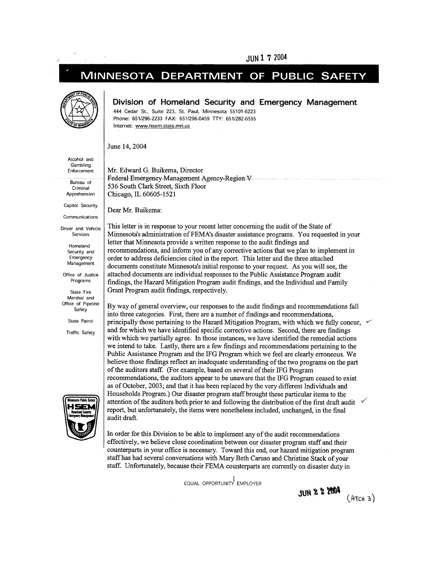#### JUN 1 7 2004

#### MINNESOTA DEPARTMENT OF **PUBLIC SAFET**



#### Division of Homeland Security and Emergency Management

444 Cedar St., Suite 223, St. Paul, Minnesota 55101-6223 Phone: 651/296-2233 FAX: 651/296-0459 TTY: 651/282-6555 Internet: www.hsem.state.mn.us

June 14, 2004

Alcohol and Gambling Enforcement

Bureau of Criminal Apprehension

Capitol Security

Communications

Driver and Vehicle Services

> Homeland Security and Emergency Management

Office of Justice Programs

State Fire Marshal and Office of Pipeline Safety

State Patrol

Traffic Safety



Mr. Edward G. Buikema, Director Federal Emergency Management Agency-Region V 536 South Clark Street, Sixth Floor Chicago, IL 60605-1521

Dear Mr. Buikema:

This letter is in response to your recent letter concerning the audit of the State of Minnesota's administration of FEMA's disaster assistance programs. You requested in your letter that Minnesota provide a written response to the audit findings and recommendations, and inform you of any corrective actions that we plan to implement in order to address deficiencies cited in the report. This letter and the three attached documents constitute Minnesota's initial response to your request. As you will see, the attached documents are individual responses to the Public Assistance Program audit findings, the Hazard Mitigation Program audit findings, and the Individual and Family Grant Program audit findings, respectively.

By way of general overview, our responses to the audit findings and recommendations fall into three categories. First, there are a number of findings and recommendations, principally those pertaining to the Hazard Mitigation Program, with which we fully concur, v and for which we have identified specific corrective actions. Second, there are findings with which we partially agree. In those instances, we have identified the remedial actions we intend to take. Lastly, there are a few findings and recommendations pertaining to the Public Assistance Program and the IFG Program which we feel are clearly erroneous. We believe those findings reflect an inadequate understanding of the two programs on the part of the auditors staff. (For example, based on several of their IFG Program recommendations, the auditors appear to be unaware that the IFG Program ceased to exist as of October, 2003; and that it has been replaced by the very different Individuals and Households Program.) Our disaster program staff brought these particular items to the attention of the auditors both prior to and following the distribution of the first draft audit report, but unfortunately, the items were nonetheless included, unchanged, in the final audit draft.

In order for this Division to be able to implement any of the audit recommendations effectively, we believe close coordination between our disaster program staff and their counterparts in your office is necessary. Toward this end, our hazard mitigation program staff has had several conversations with Mary Beth Caruso and Christine Stack of your staff. Unfortunately, because their FEMA counterparts are currently on disaster duty in

EQUAL OPPORTUNITY EMPLOYER